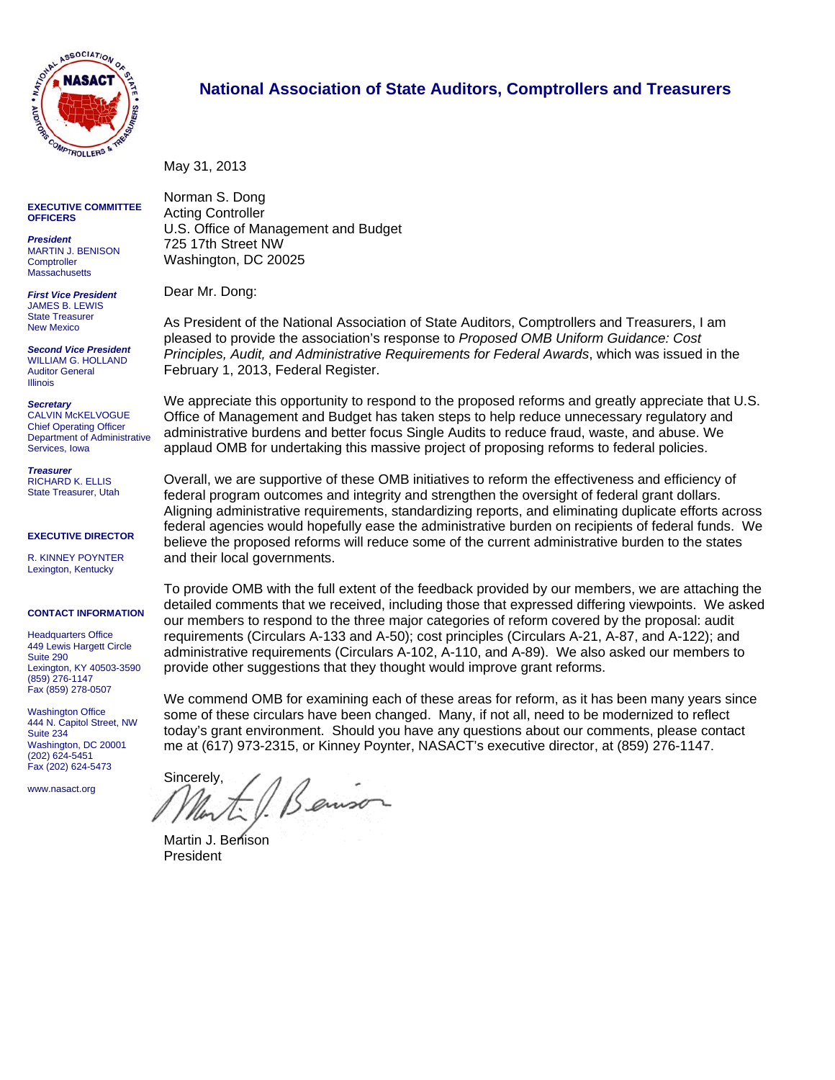

#### **EXECUTIVE COMMITTEE OFFICERS**

*President*  MARTIN J. BENISON **Comptroller Massachusetts** 

*First Vice President*  JAMES B. LEWIS State Treasurer New Mexico

*Second Vice President*  WILLIAM G. HOLLAND Auditor General Illinois

#### *Secretary*  CALVIN McKELVOGUE

Chief Operating Officer Department of Administrative Services, Iowa

*Treasurer*  RICHARD K. ELLIS State Treasurer, Utah

**EXECUTIVE DIRECTOR** 

R. KINNEY POYNTER Lexington, Kentucky

#### **CONTACT INFORMATION**

**Headquarters Office** 449 Lewis Hargett Circle Suite 290 Lexington, KY 40503-3590 (859) 276-1147 Fax (859) 278-0507

Washington Office 444 N. Capitol Street, NW Suite 234 Washington, DC 20001 (202) 624-5451 Fax (202) 624-5473

www.nasact.org

#### **National Association of State Auditors, Comptrollers and Treasurers**

May 31, 2013

Norman S. Dong Acting Controller U.S. Office of Management and Budget 725 17th Street NW Washington, DC 20025

Dear Mr. Dong:

As President of the National Association of State Auditors, Comptrollers and Treasurers, I am pleased to provide the association's response to *Proposed OMB Uniform Guidance: Cost Principles, Audit, and Administrative Requirements for Federal Awards*, which was issued in the February 1, 2013, Federal Register.

We appreciate this opportunity to respond to the proposed reforms and greatly appreciate that U.S. Office of Management and Budget has taken steps to help reduce unnecessary regulatory and administrative burdens and better focus Single Audits to reduce fraud, waste, and abuse. We applaud OMB for undertaking this massive project of proposing reforms to federal policies.

Overall, we are supportive of these OMB initiatives to reform the effectiveness and efficiency of federal program outcomes and integrity and strengthen the oversight of federal grant dollars. Aligning administrative requirements, standardizing reports, and eliminating duplicate efforts across federal agencies would hopefully ease the administrative burden on recipients of federal funds. We believe the proposed reforms will reduce some of the current administrative burden to the states and their local governments.

To provide OMB with the full extent of the feedback provided by our members, we are attaching the detailed comments that we received, including those that expressed differing viewpoints. We asked our members to respond to the three major categories of reform covered by the proposal: audit requirements (Circulars A-133 and A-50); cost principles (Circulars A-21, A-87, and A-122); and administrative requirements (Circulars A-102, A-110, and A-89). We also asked our members to provide other suggestions that they thought would improve grant reforms.

We commend OMB for examining each of these areas for reform, as it has been many years since some of these circulars have been changed. Many, if not all, need to be modernized to reflect today's grant environment. Should you have any questions about our comments, please contact me at (617) 973-2315, or Kinney Poynter, NASACT's executive director, at (859) 276-1147.

Sincerely, Benison

Martin J. Benison President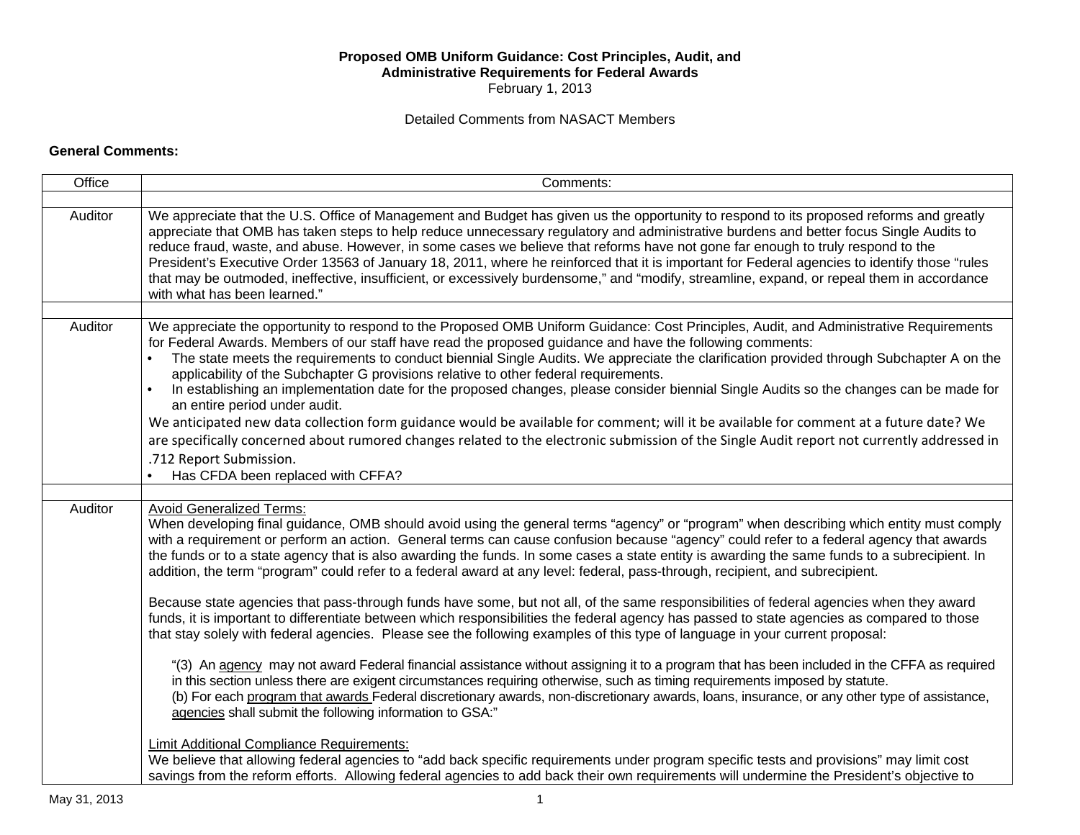#### **Proposed OMB Uniform Guidance: Cost Principles, Audit, and Administrative Requirements for Federal Awards**  February 1, 2013

#### Detailed Comments from NASACT Members

#### **General Comments:**

| Office  | Comments:                                                                                                                                                                                                                                                                                                                                                                                                                                                                                                                                                                                                                                                                                                                                           |  |  |  |  |
|---------|-----------------------------------------------------------------------------------------------------------------------------------------------------------------------------------------------------------------------------------------------------------------------------------------------------------------------------------------------------------------------------------------------------------------------------------------------------------------------------------------------------------------------------------------------------------------------------------------------------------------------------------------------------------------------------------------------------------------------------------------------------|--|--|--|--|
|         |                                                                                                                                                                                                                                                                                                                                                                                                                                                                                                                                                                                                                                                                                                                                                     |  |  |  |  |
| Auditor | We appreciate that the U.S. Office of Management and Budget has given us the opportunity to respond to its proposed reforms and greatly<br>appreciate that OMB has taken steps to help reduce unnecessary regulatory and administrative burdens and better focus Single Audits to<br>reduce fraud, waste, and abuse. However, in some cases we believe that reforms have not gone far enough to truly respond to the<br>President's Executive Order 13563 of January 18, 2011, where he reinforced that it is important for Federal agencies to identify those "rules<br>that may be outmoded, ineffective, insufficient, or excessively burdensome," and "modify, streamline, expand, or repeal them in accordance<br>with what has been learned." |  |  |  |  |
|         |                                                                                                                                                                                                                                                                                                                                                                                                                                                                                                                                                                                                                                                                                                                                                     |  |  |  |  |
| Auditor | We appreciate the opportunity to respond to the Proposed OMB Uniform Guidance: Cost Principles, Audit, and Administrative Requirements<br>for Federal Awards. Members of our staff have read the proposed guidance and have the following comments:<br>The state meets the requirements to conduct biennial Single Audits. We appreciate the clarification provided through Subchapter A on the<br>applicability of the Subchapter G provisions relative to other federal requirements.<br>In establishing an implementation date for the proposed changes, please consider biennial Single Audits so the changes can be made for<br>$\bullet$<br>an entire period under audit.                                                                     |  |  |  |  |
|         | We anticipated new data collection form guidance would be available for comment; will it be available for comment at a future date? We<br>are specifically concerned about rumored changes related to the electronic submission of the Single Audit report not currently addressed in<br>.712 Report Submission.<br>Has CFDA been replaced with CFFA?                                                                                                                                                                                                                                                                                                                                                                                               |  |  |  |  |
|         |                                                                                                                                                                                                                                                                                                                                                                                                                                                                                                                                                                                                                                                                                                                                                     |  |  |  |  |
| Auditor | <b>Avoid Generalized Terms:</b><br>When developing final guidance, OMB should avoid using the general terms "agency" or "program" when describing which entity must comply<br>with a requirement or perform an action. General terms can cause confusion because "agency" could refer to a federal agency that awards<br>the funds or to a state agency that is also awarding the funds. In some cases a state entity is awarding the same funds to a subrecipient. In<br>addition, the term "program" could refer to a federal award at any level: federal, pass-through, recipient, and subrecipient.                                                                                                                                             |  |  |  |  |
|         | Because state agencies that pass-through funds have some, but not all, of the same responsibilities of federal agencies when they award<br>funds, it is important to differentiate between which responsibilities the federal agency has passed to state agencies as compared to those<br>that stay solely with federal agencies. Please see the following examples of this type of language in your current proposal:                                                                                                                                                                                                                                                                                                                              |  |  |  |  |
|         | "(3) An agency may not award Federal financial assistance without assigning it to a program that has been included in the CFFA as required<br>in this section unless there are exigent circumstances requiring otherwise, such as timing requirements imposed by statute.<br>(b) For each program that awards Federal discretionary awards, non-discretionary awards, loans, insurance, or any other type of assistance,<br>agencies shall submit the following information to GSA:"                                                                                                                                                                                                                                                                |  |  |  |  |
|         | Limit Additional Compliance Requirements:<br>We believe that allowing federal agencies to "add back specific requirements under program specific tests and provisions" may limit cost<br>savings from the reform efforts. Allowing federal agencies to add back their own requirements will undermine the President's objective to                                                                                                                                                                                                                                                                                                                                                                                                                  |  |  |  |  |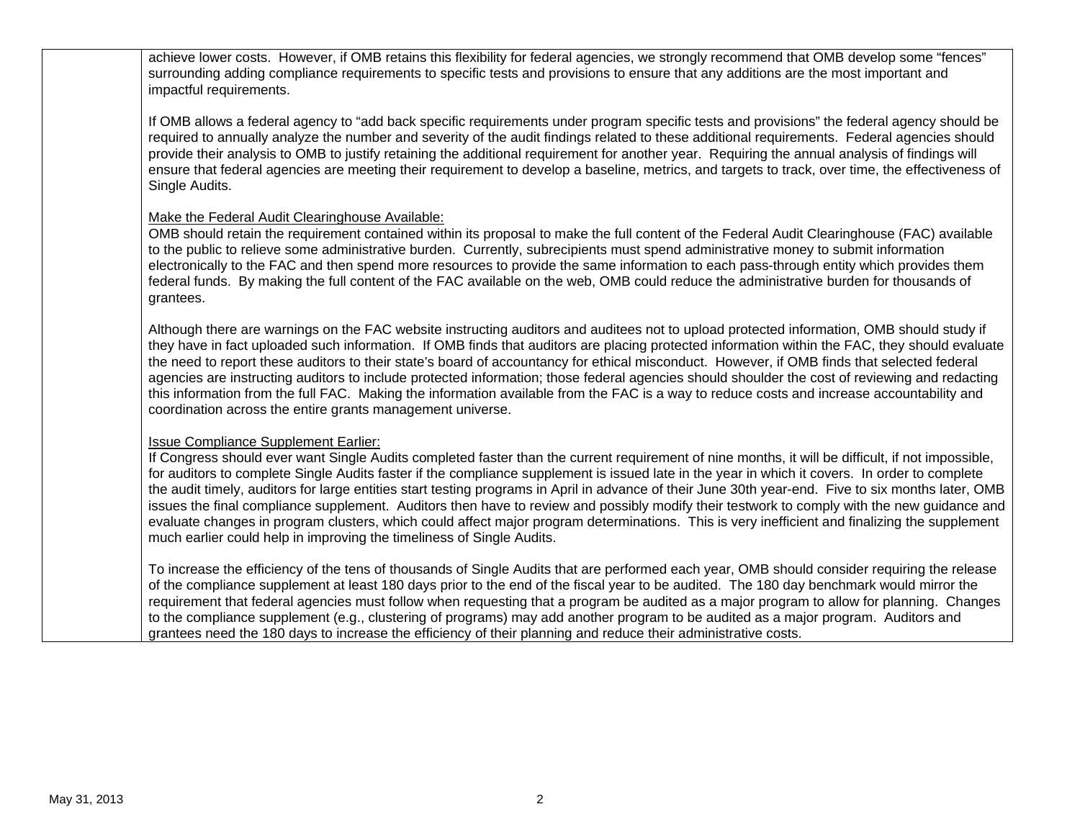achieve lower costs. However, if OMB retains this flexibility for federal agencies, we strongly recommend that OMB develop some "fences" surrounding adding compliance requirements to specific tests and provisions to ensure that any additions are the most important and impactful requirements.

If OMB allows a federal agency to "add back specific requirements under program specific tests and provisions" the federal agency should be required to annually analyze the number and severity of the audit findings related to these additional requirements. Federal agencies should provide their analysis to OMB to justify retaining the additional requirement for another year. Requiring the annual analysis of findings will ensure that federal agencies are meeting their requirement to develop a baseline, metrics, and targets to track, over time, the effectiveness of Single Audits.

#### Make the Federal Audit Clearinghouse Available:

OMB should retain the requirement contained within its proposal to make the full content of the Federal Audit Clearinghouse (FAC) available to the public to relieve some administrative burden. Currently, subrecipients must spend administrative money to submit information electronically to the FAC and then spend more resources to provide the same information to each pass-through entity which provides them federal funds. By making the full content of the FAC available on the web, OMB could reduce the administrative burden for thousands of grantees.

Although there are warnings on the FAC website instructing auditors and auditees not to upload protected information, OMB should study if they have in fact uploaded such information. If OMB finds that auditors are placing protected information within the FAC, they should evaluate the need to report these auditors to their state's board of accountancy for ethical misconduct. However, if OMB finds that selected federal agencies are instructing auditors to include protected information; those federal agencies should shoulder the cost of reviewing and redacting this information from the full FAC. Making the information available from the FAC is a way to reduce costs and increase accountability and coordination across the entire grants management universe.

#### Issue Compliance Supplement Earlier:

If Congress should ever want Single Audits completed faster than the current requirement of nine months, it will be difficult, if not impossible, for auditors to complete Single Audits faster if the compliance supplement is issued late in the year in which it covers. In order to complete the audit timely, auditors for large entities start testing programs in April in advance of their June 30th year-end. Five to six months later, OMB issues the final compliance supplement. Auditors then have to review and possibly modify their testwork to comply with the new guidance and evaluate changes in program clusters, which could affect major program determinations. This is very inefficient and finalizing the supplement much earlier could help in improving the timeliness of Single Audits.

To increase the efficiency of the tens of thousands of Single Audits that are performed each year, OMB should consider requiring the release of the compliance supplement at least 180 days prior to the end of the fiscal year to be audited. The 180 day benchmark would mirror the requirement that federal agencies must follow when requesting that a program be audited as a major program to allow for planning. Changes to the compliance supplement (e.g., clustering of programs) may add another program to be audited as a major program. Auditors and grantees need the 180 days to increase the efficiency of their planning and reduce their administrative costs.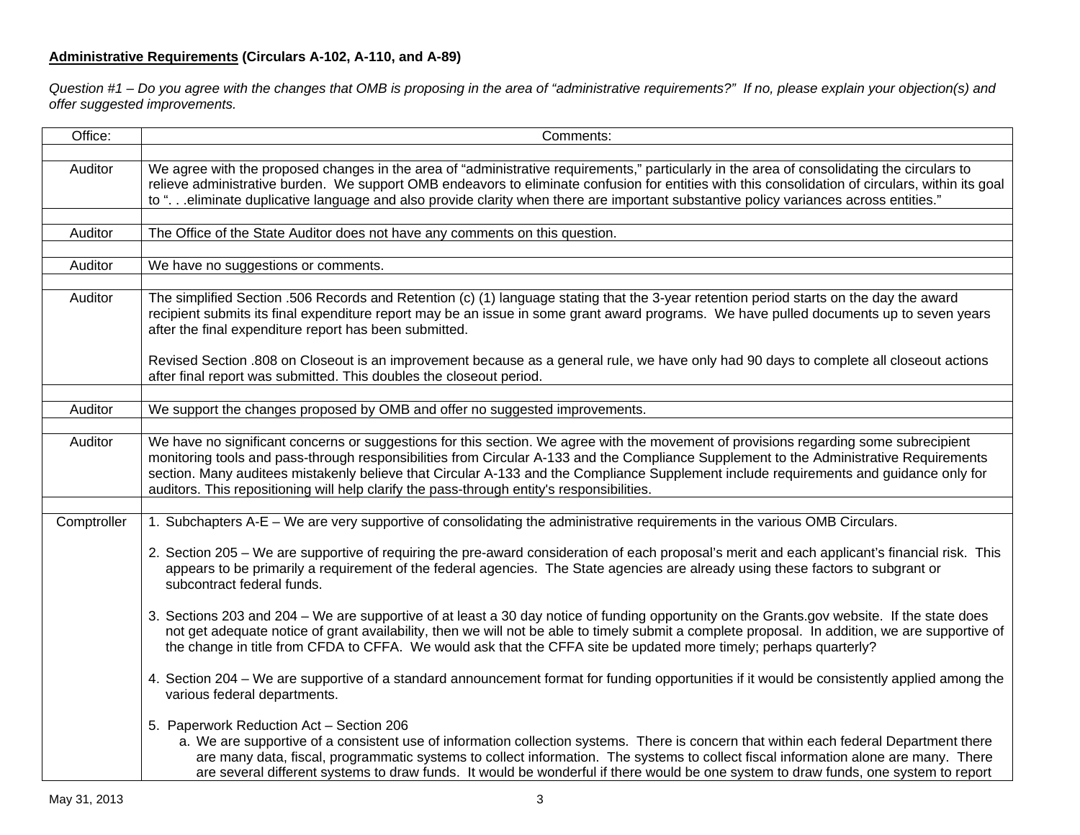# **Administrative Requirements (Circulars A-102, A-110, and A-89)**

*Question #1 – Do you agree with the changes that OMB is proposing in the area of "administrative requirements?" If no, please explain your objection(s) and offer suggested improvements.* 

| Office:     | Comments:                                                                                                                                                                                                                                                                                                                                                                                                                                                                                                                |  |  |  |  |  |
|-------------|--------------------------------------------------------------------------------------------------------------------------------------------------------------------------------------------------------------------------------------------------------------------------------------------------------------------------------------------------------------------------------------------------------------------------------------------------------------------------------------------------------------------------|--|--|--|--|--|
|             |                                                                                                                                                                                                                                                                                                                                                                                                                                                                                                                          |  |  |  |  |  |
| Auditor     | We agree with the proposed changes in the area of "administrative requirements," particularly in the area of consolidating the circulars to<br>relieve administrative burden. We support OMB endeavors to eliminate confusion for entities with this consolidation of circulars, within its goal<br>to ".eliminate duplicative language and also provide clarity when there are important substantive policy variances across entities."                                                                                 |  |  |  |  |  |
|             |                                                                                                                                                                                                                                                                                                                                                                                                                                                                                                                          |  |  |  |  |  |
| Auditor     | The Office of the State Auditor does not have any comments on this question.                                                                                                                                                                                                                                                                                                                                                                                                                                             |  |  |  |  |  |
|             |                                                                                                                                                                                                                                                                                                                                                                                                                                                                                                                          |  |  |  |  |  |
| Auditor     | We have no suggestions or comments.                                                                                                                                                                                                                                                                                                                                                                                                                                                                                      |  |  |  |  |  |
|             |                                                                                                                                                                                                                                                                                                                                                                                                                                                                                                                          |  |  |  |  |  |
| Auditor     | The simplified Section .506 Records and Retention (c) (1) language stating that the 3-year retention period starts on the day the award<br>recipient submits its final expenditure report may be an issue in some grant award programs. We have pulled documents up to seven years<br>after the final expenditure report has been submitted.                                                                                                                                                                             |  |  |  |  |  |
|             | Revised Section .808 on Closeout is an improvement because as a general rule, we have only had 90 days to complete all closeout actions<br>after final report was submitted. This doubles the closeout period.                                                                                                                                                                                                                                                                                                           |  |  |  |  |  |
|             | We support the changes proposed by OMB and offer no suggested improvements.                                                                                                                                                                                                                                                                                                                                                                                                                                              |  |  |  |  |  |
| Auditor     |                                                                                                                                                                                                                                                                                                                                                                                                                                                                                                                          |  |  |  |  |  |
| Auditor     | We have no significant concerns or suggestions for this section. We agree with the movement of provisions regarding some subrecipient<br>monitoring tools and pass-through responsibilities from Circular A-133 and the Compliance Supplement to the Administrative Requirements<br>section. Many auditees mistakenly believe that Circular A-133 and the Compliance Supplement include requirements and guidance only for<br>auditors. This repositioning will help clarify the pass-through entity's responsibilities. |  |  |  |  |  |
|             |                                                                                                                                                                                                                                                                                                                                                                                                                                                                                                                          |  |  |  |  |  |
| Comptroller | 1. Subchapters A-E – We are very supportive of consolidating the administrative requirements in the various OMB Circulars.                                                                                                                                                                                                                                                                                                                                                                                               |  |  |  |  |  |
|             | 2. Section 205 – We are supportive of requiring the pre-award consideration of each proposal's merit and each applicant's financial risk. This<br>appears to be primarily a requirement of the federal agencies. The State agencies are already using these factors to subgrant or<br>subcontract federal funds.                                                                                                                                                                                                         |  |  |  |  |  |
|             | 3. Sections 203 and 204 - We are supportive of at least a 30 day notice of funding opportunity on the Grants.gov website. If the state does<br>not get adequate notice of grant availability, then we will not be able to timely submit a complete proposal. In addition, we are supportive of<br>the change in title from CFDA to CFFA. We would ask that the CFFA site be updated more timely; perhaps quarterly?                                                                                                      |  |  |  |  |  |
|             | 4. Section 204 – We are supportive of a standard announcement format for funding opportunities if it would be consistently applied among the<br>various federal departments.                                                                                                                                                                                                                                                                                                                                             |  |  |  |  |  |
|             | 5. Paperwork Reduction Act - Section 206<br>a. We are supportive of a consistent use of information collection systems. There is concern that within each federal Department there<br>are many data, fiscal, programmatic systems to collect information. The systems to collect fiscal information alone are many. There<br>are several different systems to draw funds. It would be wonderful if there would be one system to draw funds, one system to report                                                         |  |  |  |  |  |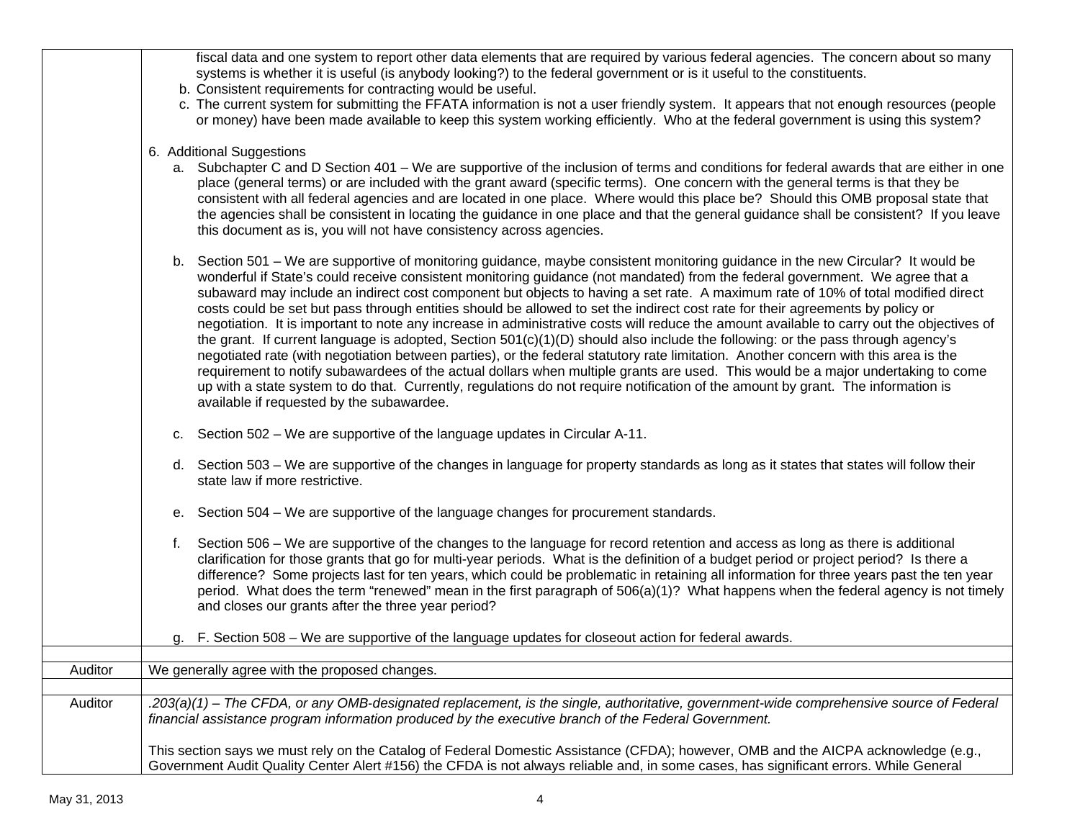|         | fiscal data and one system to report other data elements that are required by various federal agencies. The concern about so many<br>systems is whether it is useful (is anybody looking?) to the federal government or is it useful to the constituents.<br>b. Consistent requirements for contracting would be useful.<br>c. The current system for submitting the FFATA information is not a user friendly system. It appears that not enough resources (people<br>or money) have been made available to keep this system working efficiently. Who at the federal government is using this system?                                                                                                                                                                                                                                                                                                                                                                                                                                                                                                                                                                                                                                                                               |
|---------|-------------------------------------------------------------------------------------------------------------------------------------------------------------------------------------------------------------------------------------------------------------------------------------------------------------------------------------------------------------------------------------------------------------------------------------------------------------------------------------------------------------------------------------------------------------------------------------------------------------------------------------------------------------------------------------------------------------------------------------------------------------------------------------------------------------------------------------------------------------------------------------------------------------------------------------------------------------------------------------------------------------------------------------------------------------------------------------------------------------------------------------------------------------------------------------------------------------------------------------------------------------------------------------|
|         | 6. Additional Suggestions<br>a. Subchapter C and D Section 401 – We are supportive of the inclusion of terms and conditions for federal awards that are either in one<br>place (general terms) or are included with the grant award (specific terms). One concern with the general terms is that they be<br>consistent with all federal agencies and are located in one place. Where would this place be? Should this OMB proposal state that<br>the agencies shall be consistent in locating the guidance in one place and that the general guidance shall be consistent? If you leave<br>this document as is, you will not have consistency across agencies.                                                                                                                                                                                                                                                                                                                                                                                                                                                                                                                                                                                                                      |
|         | b. Section 501 – We are supportive of monitoring guidance, maybe consistent monitoring guidance in the new Circular? It would be<br>wonderful if State's could receive consistent monitoring guidance (not mandated) from the federal government. We agree that a<br>subaward may include an indirect cost component but objects to having a set rate. A maximum rate of 10% of total modified direct<br>costs could be set but pass through entities should be allowed to set the indirect cost rate for their agreements by policy or<br>negotiation. It is important to note any increase in administrative costs will reduce the amount available to carry out the objectives of<br>the grant. If current language is adopted, Section 501(c)(1)(D) should also include the following: or the pass through agency's<br>negotiated rate (with negotiation between parties), or the federal statutory rate limitation. Another concern with this area is the<br>requirement to notify subawardees of the actual dollars when multiple grants are used. This would be a major undertaking to come<br>up with a state system to do that. Currently, regulations do not require notification of the amount by grant. The information is<br>available if requested by the subawardee. |
|         | c. Section 502 – We are supportive of the language updates in Circular A-11.                                                                                                                                                                                                                                                                                                                                                                                                                                                                                                                                                                                                                                                                                                                                                                                                                                                                                                                                                                                                                                                                                                                                                                                                        |
|         | d. Section 503 – We are supportive of the changes in language for property standards as long as it states that states will follow their<br>state law if more restrictive.                                                                                                                                                                                                                                                                                                                                                                                                                                                                                                                                                                                                                                                                                                                                                                                                                                                                                                                                                                                                                                                                                                           |
|         | e. Section 504 – We are supportive of the language changes for procurement standards.                                                                                                                                                                                                                                                                                                                                                                                                                                                                                                                                                                                                                                                                                                                                                                                                                                                                                                                                                                                                                                                                                                                                                                                               |
|         | Section 506 – We are supportive of the changes to the language for record retention and access as long as there is additional<br>f.<br>clarification for those grants that go for multi-year periods. What is the definition of a budget period or project period? Is there a<br>difference? Some projects last for ten years, which could be problematic in retaining all information for three years past the ten year<br>period. What does the term "renewed" mean in the first paragraph of 506(a)(1)? What happens when the federal agency is not timely<br>and closes our grants after the three year period?                                                                                                                                                                                                                                                                                                                                                                                                                                                                                                                                                                                                                                                                 |
|         | F. Section 508 – We are supportive of the language updates for closeout action for federal awards.                                                                                                                                                                                                                                                                                                                                                                                                                                                                                                                                                                                                                                                                                                                                                                                                                                                                                                                                                                                                                                                                                                                                                                                  |
| Auditor | We generally agree with the proposed changes.                                                                                                                                                                                                                                                                                                                                                                                                                                                                                                                                                                                                                                                                                                                                                                                                                                                                                                                                                                                                                                                                                                                                                                                                                                       |
| Auditor | .203(a)(1) – The CFDA, or any OMB-designated replacement, is the single, authoritative, government-wide comprehensive source of Federal<br>financial assistance program information produced by the executive branch of the Federal Government.                                                                                                                                                                                                                                                                                                                                                                                                                                                                                                                                                                                                                                                                                                                                                                                                                                                                                                                                                                                                                                     |
|         | This section says we must rely on the Catalog of Federal Domestic Assistance (CFDA); however, OMB and the AICPA acknowledge (e.g.,<br>Government Audit Quality Center Alert #156) the CFDA is not always reliable and, in some cases, has significant errors. While General                                                                                                                                                                                                                                                                                                                                                                                                                                                                                                                                                                                                                                                                                                                                                                                                                                                                                                                                                                                                         |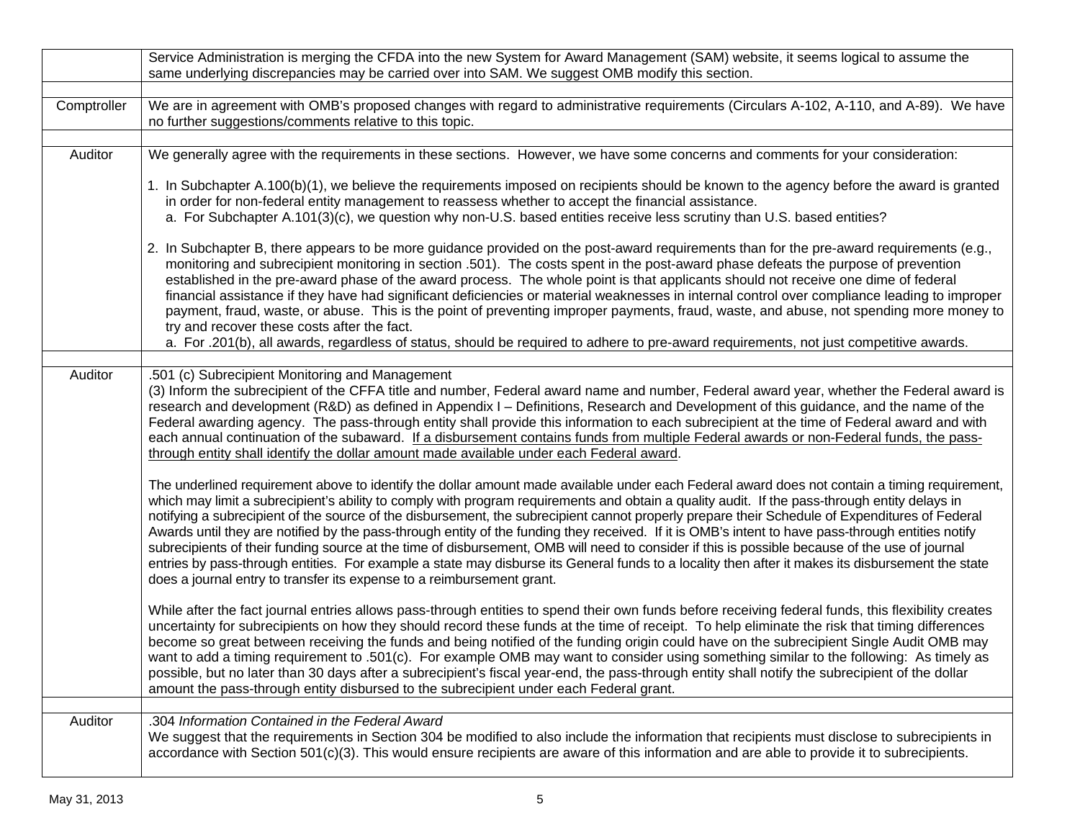|             | Service Administration is merging the CFDA into the new System for Award Management (SAM) website, it seems logical to assume the<br>same underlying discrepancies may be carried over into SAM. We suggest OMB modify this section.                                                                                                                                                                                                                                                                                                                                                                                                                                                                                                                                                                                                                                                                                                                                                    |  |  |  |  |
|-------------|-----------------------------------------------------------------------------------------------------------------------------------------------------------------------------------------------------------------------------------------------------------------------------------------------------------------------------------------------------------------------------------------------------------------------------------------------------------------------------------------------------------------------------------------------------------------------------------------------------------------------------------------------------------------------------------------------------------------------------------------------------------------------------------------------------------------------------------------------------------------------------------------------------------------------------------------------------------------------------------------|--|--|--|--|
|             |                                                                                                                                                                                                                                                                                                                                                                                                                                                                                                                                                                                                                                                                                                                                                                                                                                                                                                                                                                                         |  |  |  |  |
| Comptroller | We are in agreement with OMB's proposed changes with regard to administrative requirements (Circulars A-102, A-110, and A-89). We have<br>no further suggestions/comments relative to this topic.                                                                                                                                                                                                                                                                                                                                                                                                                                                                                                                                                                                                                                                                                                                                                                                       |  |  |  |  |
|             |                                                                                                                                                                                                                                                                                                                                                                                                                                                                                                                                                                                                                                                                                                                                                                                                                                                                                                                                                                                         |  |  |  |  |
| Auditor     | We generally agree with the requirements in these sections. However, we have some concerns and comments for your consideration:                                                                                                                                                                                                                                                                                                                                                                                                                                                                                                                                                                                                                                                                                                                                                                                                                                                         |  |  |  |  |
|             | 1. In Subchapter A.100(b)(1), we believe the requirements imposed on recipients should be known to the agency before the award is granted<br>in order for non-federal entity management to reassess whether to accept the financial assistance.<br>a. For Subchapter A.101(3)(c), we question why non-U.S. based entities receive less scrutiny than U.S. based entities?                                                                                                                                                                                                                                                                                                                                                                                                                                                                                                                                                                                                               |  |  |  |  |
|             | 2. In Subchapter B, there appears to be more guidance provided on the post-award requirements than for the pre-award requirements (e.g.,<br>monitoring and subrecipient monitoring in section .501). The costs spent in the post-award phase defeats the purpose of prevention<br>established in the pre-award phase of the award process. The whole point is that applicants should not receive one dime of federal<br>financial assistance if they have had significant deficiencies or material weaknesses in internal control over compliance leading to improper<br>payment, fraud, waste, or abuse. This is the point of preventing improper payments, fraud, waste, and abuse, not spending more money to<br>try and recover these costs after the fact.<br>a. For .201(b), all awards, regardless of status, should be required to adhere to pre-award requirements, not just competitive awards.                                                                               |  |  |  |  |
|             |                                                                                                                                                                                                                                                                                                                                                                                                                                                                                                                                                                                                                                                                                                                                                                                                                                                                                                                                                                                         |  |  |  |  |
| Auditor     | .501 (c) Subrecipient Monitoring and Management<br>(3) Inform the subrecipient of the CFFA title and number, Federal award name and number, Federal award year, whether the Federal award is<br>research and development (R&D) as defined in Appendix I – Definitions, Research and Development of this guidance, and the name of the<br>Federal awarding agency. The pass-through entity shall provide this information to each subrecipient at the time of Federal award and with<br>each annual continuation of the subaward. If a disbursement contains funds from multiple Federal awards or non-Federal funds, the pass-<br>through entity shall identify the dollar amount made available under each Federal award.                                                                                                                                                                                                                                                              |  |  |  |  |
|             | The underlined requirement above to identify the dollar amount made available under each Federal award does not contain a timing requirement,<br>which may limit a subrecipient's ability to comply with program requirements and obtain a quality audit. If the pass-through entity delays in<br>notifying a subrecipient of the source of the disbursement, the subrecipient cannot properly prepare their Schedule of Expenditures of Federal<br>Awards until they are notified by the pass-through entity of the funding they received. If it is OMB's intent to have pass-through entities notify<br>subrecipients of their funding source at the time of disbursement, OMB will need to consider if this is possible because of the use of journal<br>entries by pass-through entities. For example a state may disburse its General funds to a locality then after it makes its disbursement the state<br>does a journal entry to transfer its expense to a reimbursement grant. |  |  |  |  |
|             | While after the fact journal entries allows pass-through entities to spend their own funds before receiving federal funds, this flexibility creates<br>uncertainty for subrecipients on how they should record these funds at the time of receipt. To help eliminate the risk that timing differences<br>become so great between receiving the funds and being notified of the funding origin could have on the subrecipient Single Audit OMB may<br>want to add a timing requirement to .501(c). For example OMB may want to consider using something similar to the following: As timely as<br>possible, but no later than 30 days after a subrecipient's fiscal year-end, the pass-through entity shall notify the subrecipient of the dollar<br>amount the pass-through entity disbursed to the subrecipient under each Federal grant.                                                                                                                                              |  |  |  |  |
|             |                                                                                                                                                                                                                                                                                                                                                                                                                                                                                                                                                                                                                                                                                                                                                                                                                                                                                                                                                                                         |  |  |  |  |
| Auditor     | .304 Information Contained in the Federal Award<br>We suggest that the requirements in Section 304 be modified to also include the information that recipients must disclose to subrecipients in<br>accordance with Section 501(c)(3). This would ensure recipients are aware of this information and are able to provide it to subrecipients.                                                                                                                                                                                                                                                                                                                                                                                                                                                                                                                                                                                                                                          |  |  |  |  |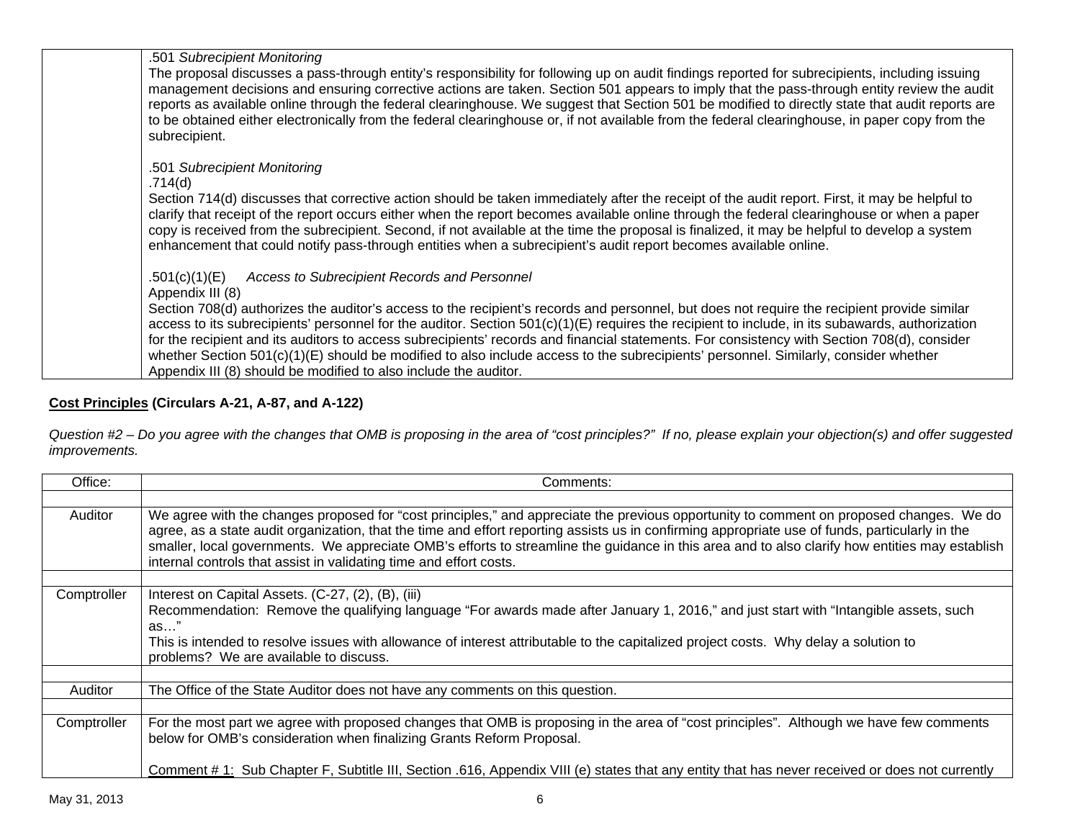| .501 Subrecipient Monitoring                                                                                                                                                                                                                                                                       |
|----------------------------------------------------------------------------------------------------------------------------------------------------------------------------------------------------------------------------------------------------------------------------------------------------|
| The proposal discusses a pass-through entity's responsibility for following up on audit findings reported for subrecipients, including issuing                                                                                                                                                     |
| management decisions and ensuring corrective actions are taken. Section 501 appears to imply that the pass-through entity review the audit                                                                                                                                                         |
| reports as available online through the federal clearinghouse. We suggest that Section 501 be modified to directly state that audit reports are<br>to be obtained either electronically from the federal clearinghouse or, if not available from the federal clearinghouse, in paper copy from the |
| subrecipient.                                                                                                                                                                                                                                                                                      |
|                                                                                                                                                                                                                                                                                                    |
| .501 Subrecipient Monitoring                                                                                                                                                                                                                                                                       |
| .714(d)                                                                                                                                                                                                                                                                                            |
| Section 714(d) discusses that corrective action should be taken immediately after the receipt of the audit report. First, it may be helpful to                                                                                                                                                     |
| clarify that receipt of the report occurs either when the report becomes available online through the federal clearinghouse or when a paper                                                                                                                                                        |
| copy is received from the subrecipient. Second, if not available at the time the proposal is finalized, it may be helpful to develop a system                                                                                                                                                      |
| enhancement that could notify pass-through entities when a subrecipient's audit report becomes available online.                                                                                                                                                                                   |
|                                                                                                                                                                                                                                                                                                    |
| .501(c)(1)(E) Access to Subrecipient Records and Personnel<br>Appendix III (8)                                                                                                                                                                                                                     |
| Section 708(d) authorizes the auditor's access to the recipient's records and personnel, but does not require the recipient provide similar                                                                                                                                                        |
| access to its subrecipients' personnel for the auditor. Section $501(c)(1)(E)$ requires the recipient to include, in its subawards, authorization                                                                                                                                                  |
| for the recipient and its auditors to access subrecipients' records and financial statements. For consistency with Section 708(d), consider                                                                                                                                                        |
| whether Section 501(c)(1)(E) should be modified to also include access to the subrecipients' personnel. Similarly, consider whether                                                                                                                                                                |
| Appendix III (8) should be modified to also include the auditor.                                                                                                                                                                                                                                   |
|                                                                                                                                                                                                                                                                                                    |

# **Cost Principles (Circulars A-21, A-87, and A-122)**

*Question #2 – Do you agree with the changes that OMB is proposing in the area of "cost principles?" If no, please explain your objection(s) and offer suggested improvements.* 

| Office:     | Comments:                                                                                                                                                                                                                                                                                                                                                                                                                                                                                                          |  |  |  |  |
|-------------|--------------------------------------------------------------------------------------------------------------------------------------------------------------------------------------------------------------------------------------------------------------------------------------------------------------------------------------------------------------------------------------------------------------------------------------------------------------------------------------------------------------------|--|--|--|--|
|             |                                                                                                                                                                                                                                                                                                                                                                                                                                                                                                                    |  |  |  |  |
| Auditor     | We agree with the changes proposed for "cost principles," and appreciate the previous opportunity to comment on proposed changes. We do<br>agree, as a state audit organization, that the time and effort reporting assists us in confirming appropriate use of funds, particularly in the<br>smaller, local governments. We appreciate OMB's efforts to streamline the guidance in this area and to also clarify how entities may establish<br>internal controls that assist in validating time and effort costs. |  |  |  |  |
|             |                                                                                                                                                                                                                                                                                                                                                                                                                                                                                                                    |  |  |  |  |
| Comptroller | Interest on Capital Assets. (C-27, (2), (B), (iii)<br>Recommendation: Remove the qualifying language "For awards made after January 1, 2016," and just start with "Intangible assets, such<br>as"<br>This is intended to resolve issues with allowance of interest attributable to the capitalized project costs. Why delay a solution to<br>problems? We are available to discuss.                                                                                                                                |  |  |  |  |
| Auditor     | The Office of the State Auditor does not have any comments on this question.                                                                                                                                                                                                                                                                                                                                                                                                                                       |  |  |  |  |
|             |                                                                                                                                                                                                                                                                                                                                                                                                                                                                                                                    |  |  |  |  |
| Comptroller | For the most part we agree with proposed changes that OMB is proposing in the area of "cost principles". Although we have few comments<br>below for OMB's consideration when finalizing Grants Reform Proposal.                                                                                                                                                                                                                                                                                                    |  |  |  |  |
|             | Comment # 1: Sub Chapter F, Subtitle III, Section .616, Appendix VIII (e) states that any entity that has never received or does not currently                                                                                                                                                                                                                                                                                                                                                                     |  |  |  |  |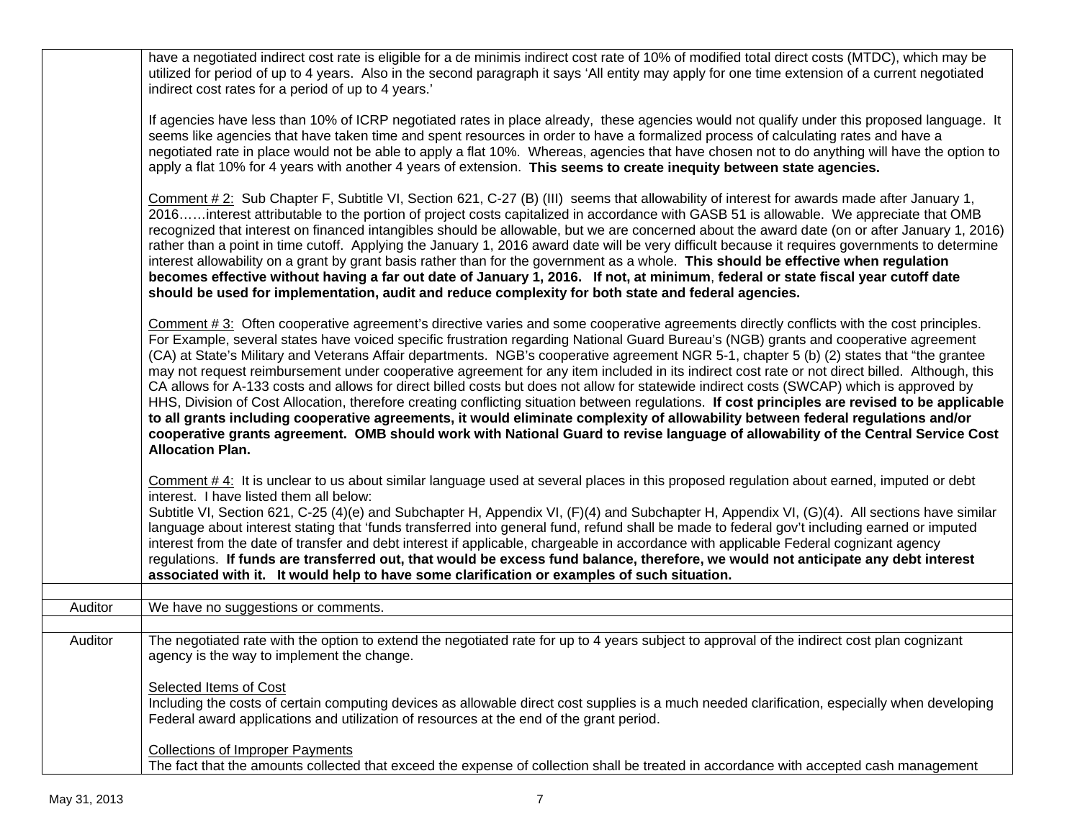|         | have a negotiated indirect cost rate is eligible for a de minimis indirect cost rate of 10% of modified total direct costs (MTDC), which may be<br>utilized for period of up to 4 years. Also in the second paragraph it says 'All entity may apply for one time extension of a current negotiated<br>indirect cost rates for a period of up to 4 years.'                                                                                                                                                                                                                                                                                                                                                                                                                                                                                                                                                                                                                                                                                                                                                                                                                          |
|---------|------------------------------------------------------------------------------------------------------------------------------------------------------------------------------------------------------------------------------------------------------------------------------------------------------------------------------------------------------------------------------------------------------------------------------------------------------------------------------------------------------------------------------------------------------------------------------------------------------------------------------------------------------------------------------------------------------------------------------------------------------------------------------------------------------------------------------------------------------------------------------------------------------------------------------------------------------------------------------------------------------------------------------------------------------------------------------------------------------------------------------------------------------------------------------------|
|         | If agencies have less than 10% of ICRP negotiated rates in place already, these agencies would not qualify under this proposed language. It<br>seems like agencies that have taken time and spent resources in order to have a formalized process of calculating rates and have a<br>negotiated rate in place would not be able to apply a flat 10%. Whereas, agencies that have chosen not to do anything will have the option to<br>apply a flat 10% for 4 years with another 4 years of extension. This seems to create inequity between state agencies.                                                                                                                                                                                                                                                                                                                                                                                                                                                                                                                                                                                                                        |
|         | Comment # 2: Sub Chapter F, Subtitle VI, Section 621, C-27 (B) (III) seems that allowability of interest for awards made after January 1,<br>2016interest attributable to the portion of project costs capitalized in accordance with GASB 51 is allowable. We appreciate that OMB<br>recognized that interest on financed intangibles should be allowable, but we are concerned about the award date (on or after January 1, 2016)<br>rather than a point in time cutoff. Applying the January 1, 2016 award date will be very difficult because it requires governments to determine<br>interest allowability on a grant by grant basis rather than for the government as a whole. This should be effective when regulation<br>becomes effective without having a far out date of January 1, 2016. If not, at minimum, federal or state fiscal year cutoff date<br>should be used for implementation, audit and reduce complexity for both state and federal agencies.                                                                                                                                                                                                           |
|         | Comment #3: Often cooperative agreement's directive varies and some cooperative agreements directly conflicts with the cost principles.<br>For Example, several states have voiced specific frustration regarding National Guard Bureau's (NGB) grants and cooperative agreement<br>(CA) at State's Military and Veterans Affair departments. NGB's cooperative agreement NGR 5-1, chapter 5 (b) (2) states that "the grantee<br>may not request reimbursement under cooperative agreement for any item included in its indirect cost rate or not direct billed. Although, this<br>CA allows for A-133 costs and allows for direct billed costs but does not allow for statewide indirect costs (SWCAP) which is approved by<br>HHS, Division of Cost Allocation, therefore creating conflicting situation between regulations. If cost principles are revised to be applicable<br>to all grants including cooperative agreements, it would eliminate complexity of allowability between federal regulations and/or<br>cooperative grants agreement. OMB should work with National Guard to revise language of allowability of the Central Service Cost<br><b>Allocation Plan.</b> |
|         | Comment $#4$ : It is unclear to us about similar language used at several places in this proposed regulation about earned, imputed or debt<br>interest. I have listed them all below:<br>Subtitle VI, Section 621, C-25 (4)(e) and Subchapter H, Appendix VI, (F)(4) and Subchapter H, Appendix VI, (G)(4). All sections have similar<br>language about interest stating that 'funds transferred into general fund, refund shall be made to federal gov't including earned or imputed<br>interest from the date of transfer and debt interest if applicable, chargeable in accordance with applicable Federal cognizant agency<br>regulations. If funds are transferred out, that would be excess fund balance, therefore, we would not anticipate any debt interest<br>associated with it. It would help to have some clarification or examples of such situation.                                                                                                                                                                                                                                                                                                                |
| Auditor | We have no suggestions or comments.                                                                                                                                                                                                                                                                                                                                                                                                                                                                                                                                                                                                                                                                                                                                                                                                                                                                                                                                                                                                                                                                                                                                                |
|         |                                                                                                                                                                                                                                                                                                                                                                                                                                                                                                                                                                                                                                                                                                                                                                                                                                                                                                                                                                                                                                                                                                                                                                                    |
| Auditor | The negotiated rate with the option to extend the negotiated rate for up to 4 years subject to approval of the indirect cost plan cognizant<br>agency is the way to implement the change.                                                                                                                                                                                                                                                                                                                                                                                                                                                                                                                                                                                                                                                                                                                                                                                                                                                                                                                                                                                          |
|         | <b>Selected Items of Cost</b><br>Including the costs of certain computing devices as allowable direct cost supplies is a much needed clarification, especially when developing<br>Federal award applications and utilization of resources at the end of the grant period.                                                                                                                                                                                                                                                                                                                                                                                                                                                                                                                                                                                                                                                                                                                                                                                                                                                                                                          |
|         | <b>Collections of Improper Payments</b><br>The fact that the amounts collected that exceed the expense of collection shall be treated in accordance with accepted cash management                                                                                                                                                                                                                                                                                                                                                                                                                                                                                                                                                                                                                                                                                                                                                                                                                                                                                                                                                                                                  |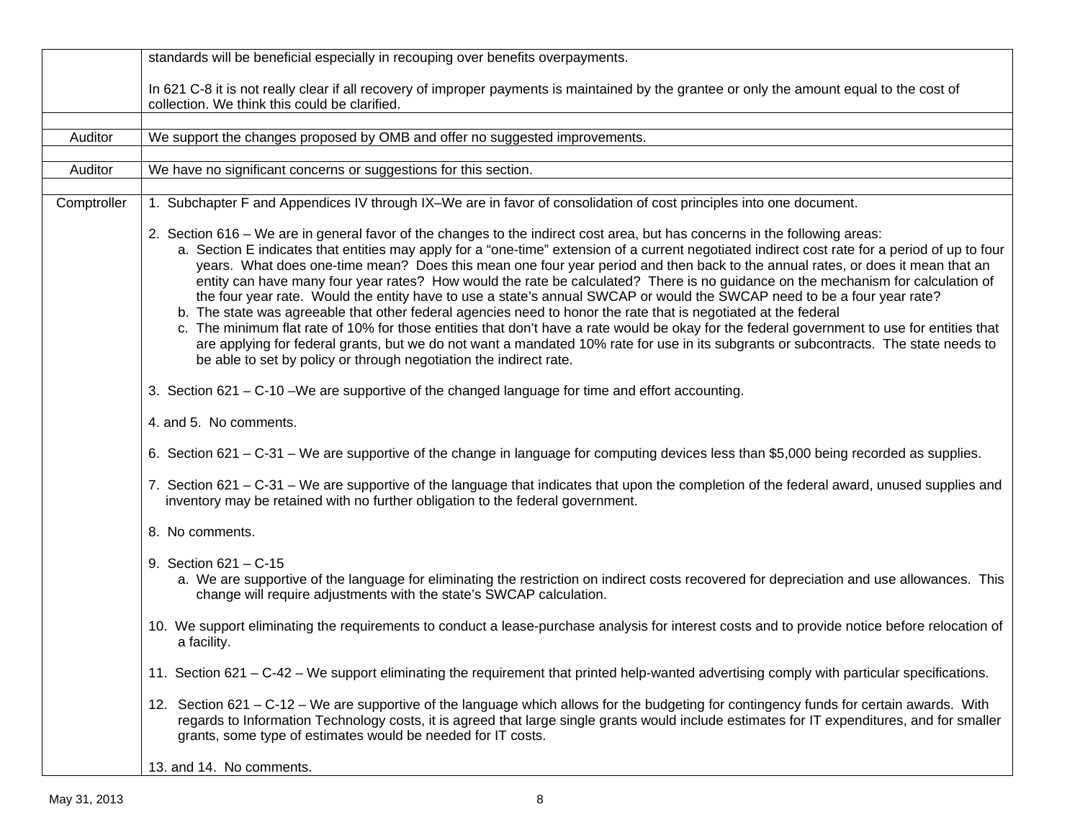|             | standards will be beneficial especially in recouping over benefits overpayments.                                                                                                                                                                                                                                                                                                                                                                                                                                                                                                                                                                                                                                                                                                                                                                                                                                                                                                                                                                                                                                                                                |  |  |  |  |  |
|-------------|-----------------------------------------------------------------------------------------------------------------------------------------------------------------------------------------------------------------------------------------------------------------------------------------------------------------------------------------------------------------------------------------------------------------------------------------------------------------------------------------------------------------------------------------------------------------------------------------------------------------------------------------------------------------------------------------------------------------------------------------------------------------------------------------------------------------------------------------------------------------------------------------------------------------------------------------------------------------------------------------------------------------------------------------------------------------------------------------------------------------------------------------------------------------|--|--|--|--|--|
|             | In 621 C-8 it is not really clear if all recovery of improper payments is maintained by the grantee or only the amount equal to the cost of<br>collection. We think this could be clarified.                                                                                                                                                                                                                                                                                                                                                                                                                                                                                                                                                                                                                                                                                                                                                                                                                                                                                                                                                                    |  |  |  |  |  |
|             | We support the changes proposed by OMB and offer no suggested improvements.                                                                                                                                                                                                                                                                                                                                                                                                                                                                                                                                                                                                                                                                                                                                                                                                                                                                                                                                                                                                                                                                                     |  |  |  |  |  |
| Auditor     |                                                                                                                                                                                                                                                                                                                                                                                                                                                                                                                                                                                                                                                                                                                                                                                                                                                                                                                                                                                                                                                                                                                                                                 |  |  |  |  |  |
| Auditor     | We have no significant concerns or suggestions for this section.                                                                                                                                                                                                                                                                                                                                                                                                                                                                                                                                                                                                                                                                                                                                                                                                                                                                                                                                                                                                                                                                                                |  |  |  |  |  |
|             |                                                                                                                                                                                                                                                                                                                                                                                                                                                                                                                                                                                                                                                                                                                                                                                                                                                                                                                                                                                                                                                                                                                                                                 |  |  |  |  |  |
| Comptroller | 1. Subchapter F and Appendices IV through IX–We are in favor of consolidation of cost principles into one document.                                                                                                                                                                                                                                                                                                                                                                                                                                                                                                                                                                                                                                                                                                                                                                                                                                                                                                                                                                                                                                             |  |  |  |  |  |
|             | 2. Section 616 – We are in general favor of the changes to the indirect cost area, but has concerns in the following areas:<br>a. Section E indicates that entities may apply for a "one-time" extension of a current negotiated indirect cost rate for a period of up to four<br>years. What does one-time mean? Does this mean one four year period and then back to the annual rates, or does it mean that an<br>entity can have many four year rates? How would the rate be calculated? There is no guidance on the mechanism for calculation of<br>the four year rate. Would the entity have to use a state's annual SWCAP or would the SWCAP need to be a four year rate?<br>b. The state was agreeable that other federal agencies need to honor the rate that is negotiated at the federal<br>c. The minimum flat rate of 10% for those entities that don't have a rate would be okay for the federal government to use for entities that<br>are applying for federal grants, but we do not want a mandated 10% rate for use in its subgrants or subcontracts. The state needs to<br>be able to set by policy or through negotiation the indirect rate. |  |  |  |  |  |
|             | 3. Section 621 – C-10 – We are supportive of the changed language for time and effort accounting.                                                                                                                                                                                                                                                                                                                                                                                                                                                                                                                                                                                                                                                                                                                                                                                                                                                                                                                                                                                                                                                               |  |  |  |  |  |
|             | 4. and 5. No comments.                                                                                                                                                                                                                                                                                                                                                                                                                                                                                                                                                                                                                                                                                                                                                                                                                                                                                                                                                                                                                                                                                                                                          |  |  |  |  |  |
|             | 6. Section 621 – C-31 – We are supportive of the change in language for computing devices less than \$5,000 being recorded as supplies.                                                                                                                                                                                                                                                                                                                                                                                                                                                                                                                                                                                                                                                                                                                                                                                                                                                                                                                                                                                                                         |  |  |  |  |  |
|             | 7. Section 621 – C-31 – We are supportive of the language that indicates that upon the completion of the federal award, unused supplies and<br>inventory may be retained with no further obligation to the federal government.                                                                                                                                                                                                                                                                                                                                                                                                                                                                                                                                                                                                                                                                                                                                                                                                                                                                                                                                  |  |  |  |  |  |
|             | 8. No comments.                                                                                                                                                                                                                                                                                                                                                                                                                                                                                                                                                                                                                                                                                                                                                                                                                                                                                                                                                                                                                                                                                                                                                 |  |  |  |  |  |
|             | 9. Section $621 - C - 15$<br>a. We are supportive of the language for eliminating the restriction on indirect costs recovered for depreciation and use allowances. This<br>change will require adjustments with the state's SWCAP calculation.                                                                                                                                                                                                                                                                                                                                                                                                                                                                                                                                                                                                                                                                                                                                                                                                                                                                                                                  |  |  |  |  |  |
|             | 10. We support eliminating the requirements to conduct a lease-purchase analysis for interest costs and to provide notice before relocation of<br>a facility.                                                                                                                                                                                                                                                                                                                                                                                                                                                                                                                                                                                                                                                                                                                                                                                                                                                                                                                                                                                                   |  |  |  |  |  |
|             | 11. Section 621 – C-42 – We support eliminating the requirement that printed help-wanted advertising comply with particular specifications.                                                                                                                                                                                                                                                                                                                                                                                                                                                                                                                                                                                                                                                                                                                                                                                                                                                                                                                                                                                                                     |  |  |  |  |  |
|             | 12. Section 621 - C-12 - We are supportive of the language which allows for the budgeting for contingency funds for certain awards. With<br>regards to Information Technology costs, it is agreed that large single grants would include estimates for IT expenditures, and for smaller<br>grants, some type of estimates would be needed for IT costs.                                                                                                                                                                                                                                                                                                                                                                                                                                                                                                                                                                                                                                                                                                                                                                                                         |  |  |  |  |  |
|             | 13. and 14. No comments.                                                                                                                                                                                                                                                                                                                                                                                                                                                                                                                                                                                                                                                                                                                                                                                                                                                                                                                                                                                                                                                                                                                                        |  |  |  |  |  |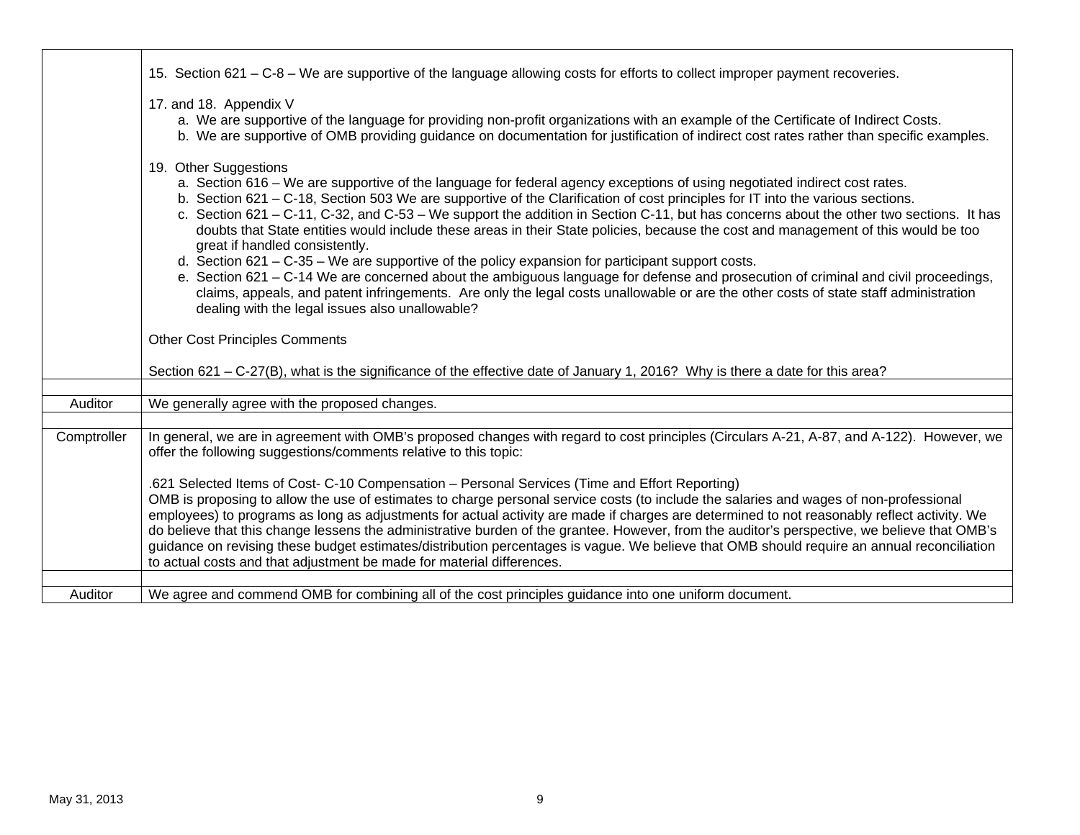|             | 15. Section 621 – C-8 – We are supportive of the language allowing costs for efforts to collect improper payment recoveries.                                                                                                                                                                                                                                                                                                                                                                                                                                                                                                                                                                                                                                                                                                                                                                                                                                                                                                                   |
|-------------|------------------------------------------------------------------------------------------------------------------------------------------------------------------------------------------------------------------------------------------------------------------------------------------------------------------------------------------------------------------------------------------------------------------------------------------------------------------------------------------------------------------------------------------------------------------------------------------------------------------------------------------------------------------------------------------------------------------------------------------------------------------------------------------------------------------------------------------------------------------------------------------------------------------------------------------------------------------------------------------------------------------------------------------------|
|             | 17. and 18. Appendix V<br>a. We are supportive of the language for providing non-profit organizations with an example of the Certificate of Indirect Costs.<br>b. We are supportive of OMB providing guidance on documentation for justification of indirect cost rates rather than specific examples.                                                                                                                                                                                                                                                                                                                                                                                                                                                                                                                                                                                                                                                                                                                                         |
|             | 19. Other Suggestions<br>a. Section 616 – We are supportive of the language for federal agency exceptions of using negotiated indirect cost rates.<br>b. Section 621 – C-18, Section 503 We are supportive of the Clarification of cost principles for IT into the various sections.<br>c. Section 621 – C-11, C-32, and C-53 – We support the addition in Section C-11, but has concerns about the other two sections. It has<br>doubts that State entities would include these areas in their State policies, because the cost and management of this would be too<br>great if handled consistently.<br>d. Section $621 - C-35 - W$ e are supportive of the policy expansion for participant support costs.<br>e. Section 621 – C-14 We are concerned about the ambiguous language for defense and prosecution of criminal and civil proceedings,<br>claims, appeals, and patent infringements. Are only the legal costs unallowable or are the other costs of state staff administration<br>dealing with the legal issues also unallowable? |
|             | <b>Other Cost Principles Comments</b>                                                                                                                                                                                                                                                                                                                                                                                                                                                                                                                                                                                                                                                                                                                                                                                                                                                                                                                                                                                                          |
|             | Section 621 – C-27(B), what is the significance of the effective date of January 1, 2016? Why is there a date for this area?                                                                                                                                                                                                                                                                                                                                                                                                                                                                                                                                                                                                                                                                                                                                                                                                                                                                                                                   |
| Auditor     | We generally agree with the proposed changes.                                                                                                                                                                                                                                                                                                                                                                                                                                                                                                                                                                                                                                                                                                                                                                                                                                                                                                                                                                                                  |
|             |                                                                                                                                                                                                                                                                                                                                                                                                                                                                                                                                                                                                                                                                                                                                                                                                                                                                                                                                                                                                                                                |
| Comptroller | In general, we are in agreement with OMB's proposed changes with regard to cost principles (Circulars A-21, A-87, and A-122). However, we<br>offer the following suggestions/comments relative to this topic:                                                                                                                                                                                                                                                                                                                                                                                                                                                                                                                                                                                                                                                                                                                                                                                                                                  |
|             | .621 Selected Items of Cost- C-10 Compensation - Personal Services (Time and Effort Reporting)<br>OMB is proposing to allow the use of estimates to charge personal service costs (to include the salaries and wages of non-professional<br>employees) to programs as long as adjustments for actual activity are made if charges are determined to not reasonably reflect activity. We<br>do believe that this change lessens the administrative burden of the grantee. However, from the auditor's perspective, we believe that OMB's<br>guidance on revising these budget estimates/distribution percentages is vague. We believe that OMB should require an annual reconciliation<br>to actual costs and that adjustment be made for material differences.                                                                                                                                                                                                                                                                                 |
| Auditor     | We agree and commend OMB for combining all of the cost principles guidance into one uniform document.                                                                                                                                                                                                                                                                                                                                                                                                                                                                                                                                                                                                                                                                                                                                                                                                                                                                                                                                          |
|             |                                                                                                                                                                                                                                                                                                                                                                                                                                                                                                                                                                                                                                                                                                                                                                                                                                                                                                                                                                                                                                                |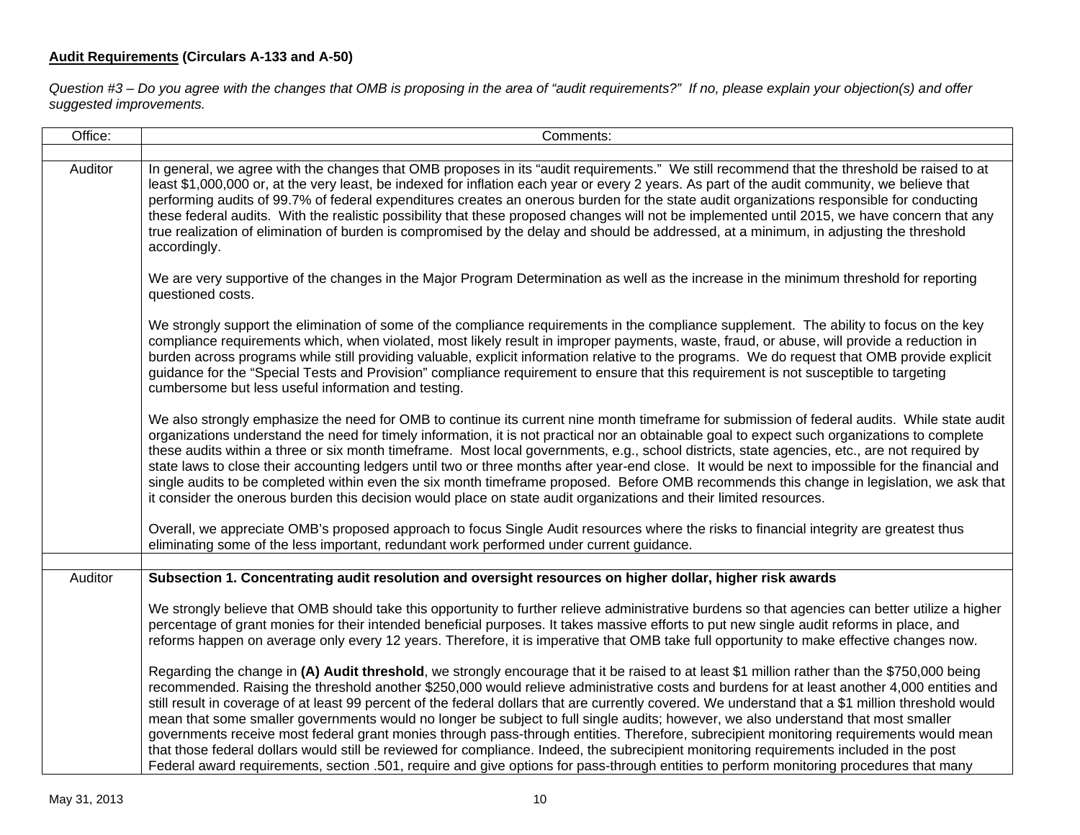# **Audit Requirements (Circulars A-133 and A-50)**

*Question #3 – Do you agree with the changes that OMB is proposing in the area of "audit requirements?" If no, please explain your objection(s) and offer suggested improvements.* 

| Office: | Comments:                                                                                                                                                                                                                                                                                                                                                                                                                                                                                                                                                                                                                                                                                                                                                                                                                                                                                                                                                                                                                  |  |  |  |  |  |
|---------|----------------------------------------------------------------------------------------------------------------------------------------------------------------------------------------------------------------------------------------------------------------------------------------------------------------------------------------------------------------------------------------------------------------------------------------------------------------------------------------------------------------------------------------------------------------------------------------------------------------------------------------------------------------------------------------------------------------------------------------------------------------------------------------------------------------------------------------------------------------------------------------------------------------------------------------------------------------------------------------------------------------------------|--|--|--|--|--|
| Auditor | In general, we agree with the changes that OMB proposes in its "audit requirements." We still recommend that the threshold be raised to at                                                                                                                                                                                                                                                                                                                                                                                                                                                                                                                                                                                                                                                                                                                                                                                                                                                                                 |  |  |  |  |  |
|         | least \$1,000,000 or, at the very least, be indexed for inflation each year or every 2 years. As part of the audit community, we believe that<br>performing audits of 99.7% of federal expenditures creates an onerous burden for the state audit organizations responsible for conducting<br>these federal audits. With the realistic possibility that these proposed changes will not be implemented until 2015, we have concern that any<br>true realization of elimination of burden is compromised by the delay and should be addressed, at a minimum, in adjusting the threshold<br>accordingly.                                                                                                                                                                                                                                                                                                                                                                                                                     |  |  |  |  |  |
|         | We are very supportive of the changes in the Major Program Determination as well as the increase in the minimum threshold for reporting<br>questioned costs.                                                                                                                                                                                                                                                                                                                                                                                                                                                                                                                                                                                                                                                                                                                                                                                                                                                               |  |  |  |  |  |
|         | We strongly support the elimination of some of the compliance requirements in the compliance supplement. The ability to focus on the key<br>compliance requirements which, when violated, most likely result in improper payments, waste, fraud, or abuse, will provide a reduction in<br>burden across programs while still providing valuable, explicit information relative to the programs. We do request that OMB provide explicit<br>guidance for the "Special Tests and Provision" compliance requirement to ensure that this requirement is not susceptible to targeting<br>cumbersome but less useful information and testing.                                                                                                                                                                                                                                                                                                                                                                                    |  |  |  |  |  |
|         | We also strongly emphasize the need for OMB to continue its current nine month timeframe for submission of federal audits. While state audit<br>organizations understand the need for timely information, it is not practical nor an obtainable goal to expect such organizations to complete<br>these audits within a three or six month timeframe. Most local governments, e.g., school districts, state agencies, etc., are not required by<br>state laws to close their accounting ledgers until two or three months after year-end close. It would be next to impossible for the financial and<br>single audits to be completed within even the six month timeframe proposed. Before OMB recommends this change in legislation, we ask that<br>it consider the onerous burden this decision would place on state audit organizations and their limited resources.                                                                                                                                                     |  |  |  |  |  |
|         | Overall, we appreciate OMB's proposed approach to focus Single Audit resources where the risks to financial integrity are greatest thus<br>eliminating some of the less important, redundant work performed under current guidance.                                                                                                                                                                                                                                                                                                                                                                                                                                                                                                                                                                                                                                                                                                                                                                                        |  |  |  |  |  |
| Auditor | Subsection 1. Concentrating audit resolution and oversight resources on higher dollar, higher risk awards                                                                                                                                                                                                                                                                                                                                                                                                                                                                                                                                                                                                                                                                                                                                                                                                                                                                                                                  |  |  |  |  |  |
|         | We strongly believe that OMB should take this opportunity to further relieve administrative burdens so that agencies can better utilize a higher<br>percentage of grant monies for their intended beneficial purposes. It takes massive efforts to put new single audit reforms in place, and<br>reforms happen on average only every 12 years. Therefore, it is imperative that OMB take full opportunity to make effective changes now.                                                                                                                                                                                                                                                                                                                                                                                                                                                                                                                                                                                  |  |  |  |  |  |
|         | Regarding the change in (A) Audit threshold, we strongly encourage that it be raised to at least \$1 million rather than the \$750,000 being<br>recommended. Raising the threshold another \$250,000 would relieve administrative costs and burdens for at least another 4,000 entities and<br>still result in coverage of at least 99 percent of the federal dollars that are currently covered. We understand that a \$1 million threshold would<br>mean that some smaller governments would no longer be subject to full single audits; however, we also understand that most smaller<br>governments receive most federal grant monies through pass-through entities. Therefore, subrecipient monitoring requirements would mean<br>that those federal dollars would still be reviewed for compliance. Indeed, the subrecipient monitoring requirements included in the post<br>Federal award requirements, section .501, require and give options for pass-through entities to perform monitoring procedures that many |  |  |  |  |  |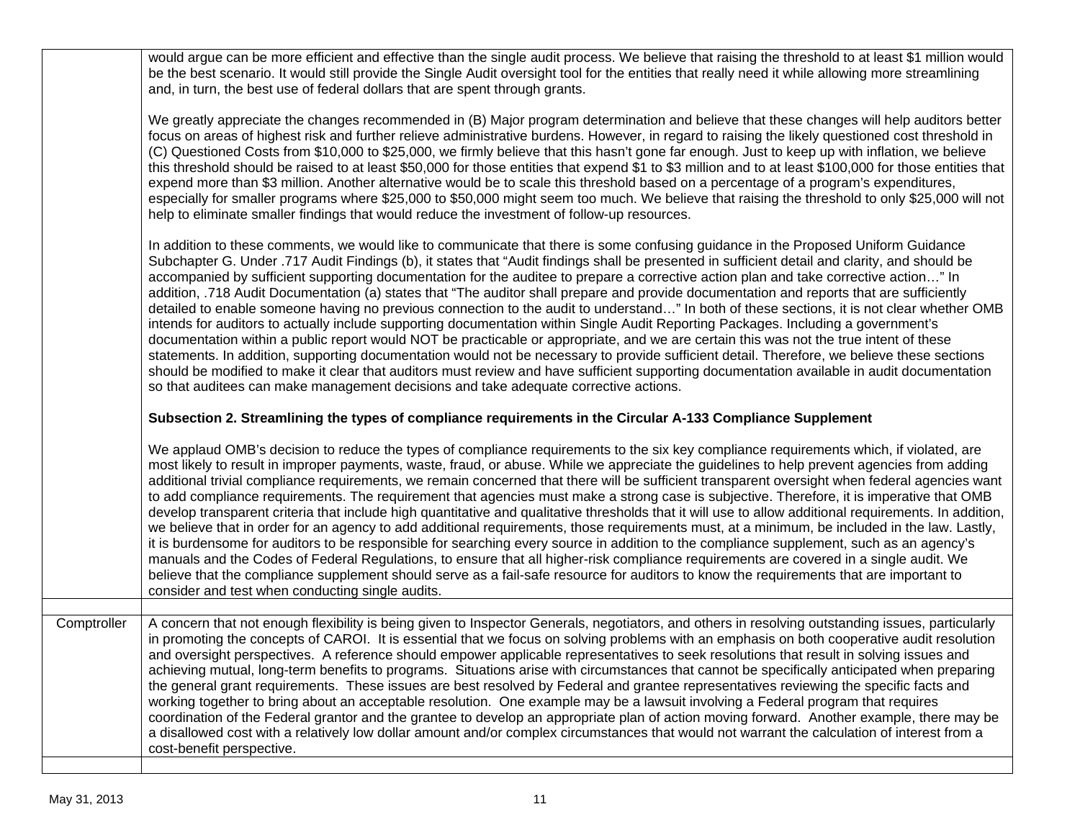would argue can be more efficient and effective than the single audit process. We believe that raising the threshold to at least \$1 million would be the best scenario. It would still provide the Single Audit oversight tool for the entities that really need it while allowing more streamlining and, in turn, the best use of federal dollars that are spent through grants.

We greatly appreciate the changes recommended in (B) Major program determination and believe that these changes will help auditors better focus on areas of highest risk and further relieve administrative burdens. However, in regard to raising the likely questioned cost threshold in (C) Questioned Costs from \$10,000 to \$25,000, we firmly believe that this hasn't gone far enough. Just to keep up with inflation, we believe this threshold should be raised to at least \$50,000 for those entities that expend \$1 to \$3 million and to at least \$100,000 for those entities that expend more than \$3 million. Another alternative would be to scale this threshold based on a percentage of a program's expenditures, especially for smaller programs where \$25,000 to \$50,000 might seem too much. We believe that raising the threshold to only \$25,000 will not help to eliminate smaller findings that would reduce the investment of follow-up resources.

In addition to these comments, we would like to communicate that there is some confusing guidance in the Proposed Uniform Guidance Subchapter G. Under .717 Audit Findings (b), it states that "Audit findings shall be presented in sufficient detail and clarity, and should be accompanied by sufficient supporting documentation for the auditee to prepare a corrective action plan and take corrective action…" In addition, .718 Audit Documentation (a) states that "The auditor shall prepare and provide documentation and reports that are sufficiently detailed to enable someone having no previous connection to the audit to understand…" In both of these sections, it is not clear whether OMB intends for auditors to actually include supporting documentation within Single Audit Reporting Packages. Including a government's documentation within a public report would NOT be practicable or appropriate, and we are certain this was not the true intent of these statements. In addition, supporting documentation would not be necessary to provide sufficient detail. Therefore, we believe these sections should be modified to make it clear that auditors must review and have sufficient supporting documentation available in audit documentation so that auditees can make management decisions and take adequate corrective actions.

#### **Subsection 2. Streamlining the types of compliance requirements in the Circular A-133 Compliance Supplement**

We applaud OMB's decision to reduce the types of compliance requirements to the six key compliance requirements which, if violated, are most likely to result in improper payments, waste, fraud, or abuse. While we appreciate the guidelines to help prevent agencies from adding additional trivial compliance requirements, we remain concerned that there will be sufficient transparent oversight when federal agencies want to add compliance requirements. The requirement that agencies must make a strong case is subjective. Therefore, it is imperative that OMB develop transparent criteria that include high quantitative and qualitative thresholds that it will use to allow additional requirements. In addition, we believe that in order for an agency to add additional requirements, those requirements must, at a minimum, be included in the law. Lastly, it is burdensome for auditors to be responsible for searching every source in addition to the compliance supplement, such as an agency's manuals and the Codes of Federal Regulations, to ensure that all higher-risk compliance requirements are covered in a single audit. We believe that the compliance supplement should serve as a fail-safe resource for auditors to know the requirements that are important to consider and test when conducting single audits.

Comptroller | A concern that not enough flexibility is being given to Inspector Generals, negotiators, and others in resolving outstanding issues, particularly in promoting the concepts of CAROI. It is essential that we focus on solving problems with an emphasis on both cooperative audit resolution and oversight perspectives. A reference should empower applicable representatives to seek resolutions that result in solving issues and achieving mutual, long-term benefits to programs. Situations arise with circumstances that cannot be specifically anticipated when preparing the general grant requirements. These issues are best resolved by Federal and grantee representatives reviewing the specific facts and working together to bring about an acceptable resolution. One example may be a lawsuit involving a Federal program that requires coordination of the Federal grantor and the grantee to develop an appropriate plan of action moving forward. Another example, there may be a disallowed cost with a relatively low dollar amount and/or complex circumstances that would not warrant the calculation of interest from a cost-benefit perspective.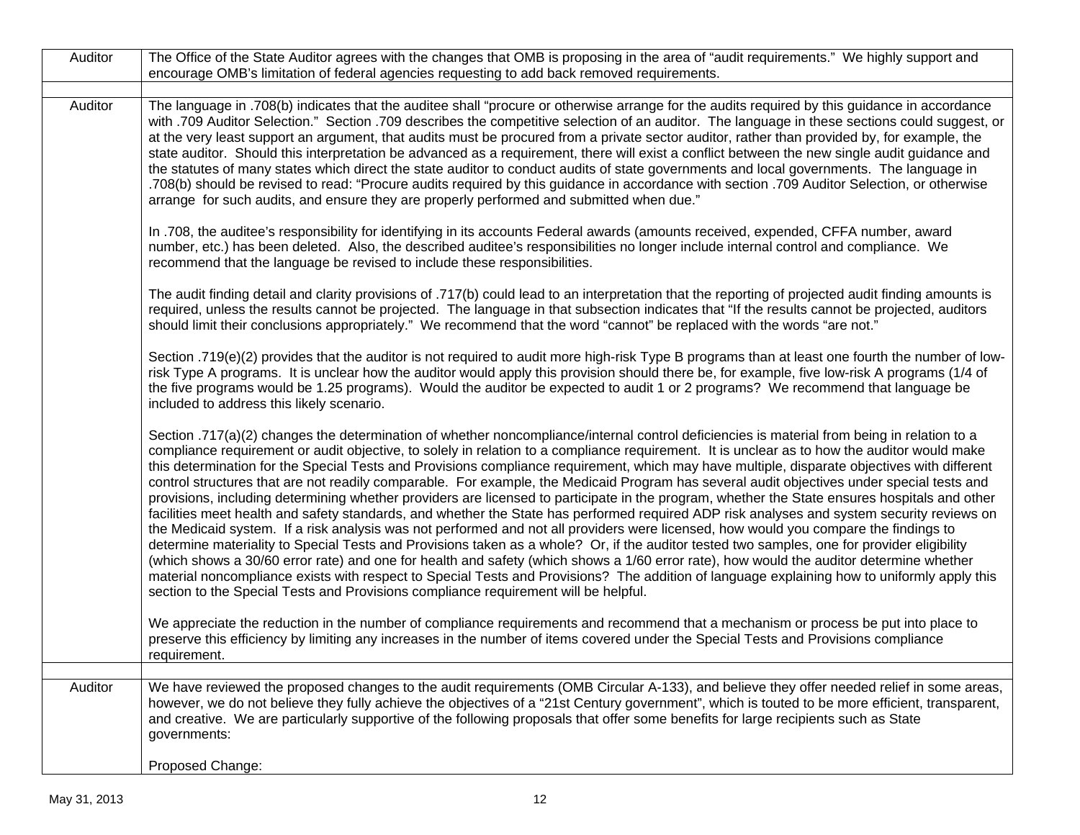| Auditor | The Office of the State Auditor agrees with the changes that OMB is proposing in the area of "audit requirements." We highly support and<br>encourage OMB's limitation of federal agencies requesting to add back removed requirements.                                                                                                                                                                                                                                                                                                                                                                                                                                                                                                                                                                                                                                                                                                                                                                                                                                                                                                                                                                                                                                                                                                                                                                                                                                                                                                                          |
|---------|------------------------------------------------------------------------------------------------------------------------------------------------------------------------------------------------------------------------------------------------------------------------------------------------------------------------------------------------------------------------------------------------------------------------------------------------------------------------------------------------------------------------------------------------------------------------------------------------------------------------------------------------------------------------------------------------------------------------------------------------------------------------------------------------------------------------------------------------------------------------------------------------------------------------------------------------------------------------------------------------------------------------------------------------------------------------------------------------------------------------------------------------------------------------------------------------------------------------------------------------------------------------------------------------------------------------------------------------------------------------------------------------------------------------------------------------------------------------------------------------------------------------------------------------------------------|
|         |                                                                                                                                                                                                                                                                                                                                                                                                                                                                                                                                                                                                                                                                                                                                                                                                                                                                                                                                                                                                                                                                                                                                                                                                                                                                                                                                                                                                                                                                                                                                                                  |
| Auditor | The language in .708(b) indicates that the auditee shall "procure or otherwise arrange for the audits required by this guidance in accordance<br>with .709 Auditor Selection." Section .709 describes the competitive selection of an auditor. The language in these sections could suggest, or<br>at the very least support an argument, that audits must be procured from a private sector auditor, rather than provided by, for example, the<br>state auditor. Should this interpretation be advanced as a requirement, there will exist a conflict between the new single audit guidance and<br>the statutes of many states which direct the state auditor to conduct audits of state governments and local governments. The language in<br>.708(b) should be revised to read: "Procure audits required by this guidance in accordance with section. 709 Auditor Selection, or otherwise<br>arrange for such audits, and ensure they are properly performed and submitted when due."                                                                                                                                                                                                                                                                                                                                                                                                                                                                                                                                                                         |
|         | In .708, the auditee's responsibility for identifying in its accounts Federal awards (amounts received, expended, CFFA number, award<br>number, etc.) has been deleted. Also, the described auditee's responsibilities no longer include internal control and compliance. We<br>recommend that the language be revised to include these responsibilities.                                                                                                                                                                                                                                                                                                                                                                                                                                                                                                                                                                                                                                                                                                                                                                                                                                                                                                                                                                                                                                                                                                                                                                                                        |
|         | The audit finding detail and clarity provisions of .717(b) could lead to an interpretation that the reporting of projected audit finding amounts is<br>required, unless the results cannot be projected. The language in that subsection indicates that "If the results cannot be projected, auditors<br>should limit their conclusions appropriately." We recommend that the word "cannot" be replaced with the words "are not."                                                                                                                                                                                                                                                                                                                                                                                                                                                                                                                                                                                                                                                                                                                                                                                                                                                                                                                                                                                                                                                                                                                                |
|         | Section .719(e)(2) provides that the auditor is not required to audit more high-risk Type B programs than at least one fourth the number of low-<br>risk Type A programs. It is unclear how the auditor would apply this provision should there be, for example, five low-risk A programs (1/4 of<br>the five programs would be 1.25 programs). Would the auditor be expected to audit 1 or 2 programs? We recommend that language be<br>included to address this likely scenario.                                                                                                                                                                                                                                                                                                                                                                                                                                                                                                                                                                                                                                                                                                                                                                                                                                                                                                                                                                                                                                                                               |
|         | Section .717(a)(2) changes the determination of whether noncompliance/internal control deficiencies is material from being in relation to a<br>compliance requirement or audit objective, to solely in relation to a compliance requirement. It is unclear as to how the auditor would make<br>this determination for the Special Tests and Provisions compliance requirement, which may have multiple, disparate objectives with different<br>control structures that are not readily comparable. For example, the Medicaid Program has several audit objectives under special tests and<br>provisions, including determining whether providers are licensed to participate in the program, whether the State ensures hospitals and other<br>facilities meet health and safety standards, and whether the State has performed required ADP risk analyses and system security reviews on<br>the Medicaid system. If a risk analysis was not performed and not all providers were licensed, how would you compare the findings to<br>determine materiality to Special Tests and Provisions taken as a whole? Or, if the auditor tested two samples, one for provider eligibility<br>(which shows a 30/60 error rate) and one for health and safety (which shows a 1/60 error rate), how would the auditor determine whether<br>material noncompliance exists with respect to Special Tests and Provisions? The addition of language explaining how to uniformly apply this<br>section to the Special Tests and Provisions compliance requirement will be helpful. |
|         | We appreciate the reduction in the number of compliance requirements and recommend that a mechanism or process be put into place to<br>preserve this efficiency by limiting any increases in the number of items covered under the Special Tests and Provisions compliance<br>requirement.                                                                                                                                                                                                                                                                                                                                                                                                                                                                                                                                                                                                                                                                                                                                                                                                                                                                                                                                                                                                                                                                                                                                                                                                                                                                       |
|         |                                                                                                                                                                                                                                                                                                                                                                                                                                                                                                                                                                                                                                                                                                                                                                                                                                                                                                                                                                                                                                                                                                                                                                                                                                                                                                                                                                                                                                                                                                                                                                  |
| Auditor | We have reviewed the proposed changes to the audit requirements (OMB Circular A-133), and believe they offer needed relief in some areas,<br>however, we do not believe they fully achieve the objectives of a "21st Century government", which is touted to be more efficient, transparent,<br>and creative. We are particularly supportive of the following proposals that offer some benefits for large recipients such as State<br>governments:                                                                                                                                                                                                                                                                                                                                                                                                                                                                                                                                                                                                                                                                                                                                                                                                                                                                                                                                                                                                                                                                                                              |
|         | Proposed Change:                                                                                                                                                                                                                                                                                                                                                                                                                                                                                                                                                                                                                                                                                                                                                                                                                                                                                                                                                                                                                                                                                                                                                                                                                                                                                                                                                                                                                                                                                                                                                 |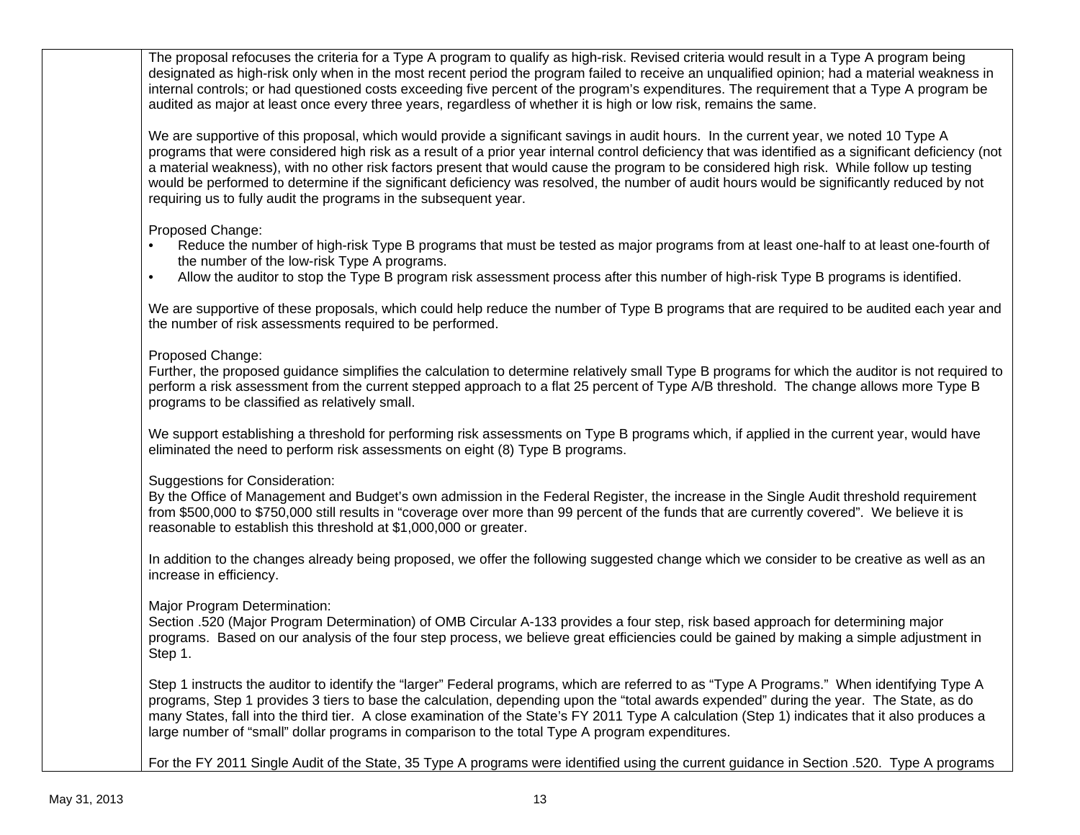The proposal refocuses the criteria for a Type A program to qualify as high-risk. Revised criteria would result in a Type A program being designated as high-risk only when in the most recent period the program failed to receive an unqualified opinion; had a material weakness in internal controls; or had questioned costs exceeding five percent of the program's expenditures. The requirement that a Type A program be audited as major at least once every three years, regardless of whether it is high or low risk, remains the same.

We are supportive of this proposal, which would provide a significant savings in audit hours. In the current year, we noted 10 Type A programs that were considered high risk as a result of a prior year internal control deficiency that was identified as a significant deficiency (not a material weakness), with no other risk factors present that would cause the program to be considered high risk. While follow up testing would be performed to determine if the significant deficiency was resolved, the number of audit hours would be significantly reduced by not requiring us to fully audit the programs in the subsequent year.

Proposed Change:

- Reduce the number of high-risk Type B programs that must be tested as major programs from at least one-half to at least one-fourth of the number of the low-risk Type A programs.
- Allow the auditor to stop the Type B program risk assessment process after this number of high-risk Type B programs is identified.

We are supportive of these proposals, which could help reduce the number of Type B programs that are required to be audited each year and the number of risk assessments required to be performed.

Proposed Change:

Further, the proposed guidance simplifies the calculation to determine relatively small Type B programs for which the auditor is not required to perform a risk assessment from the current stepped approach to a flat 25 percent of Type A/B threshold. The change allows more Type B programs to be classified as relatively small.

We support establishing a threshold for performing risk assessments on Type B programs which, if applied in the current year, would have eliminated the need to perform risk assessments on eight (8) Type B programs.

Suggestions for Consideration:

By the Office of Management and Budget's own admission in the Federal Register, the increase in the Single Audit threshold requirement from \$500,000 to \$750,000 still results in "coverage over more than 99 percent of the funds that are currently covered". We believe it is reasonable to establish this threshold at \$1,000,000 or greater.

In addition to the changes already being proposed, we offer the following suggested change which we consider to be creative as well as an increase in efficiency.

Major Program Determination:

Section .520 (Major Program Determination) of OMB Circular A-133 provides a four step, risk based approach for determining major programs. Based on our analysis of the four step process, we believe great efficiencies could be gained by making a simple adjustment in Step 1.

Step 1 instructs the auditor to identify the "larger" Federal programs, which are referred to as "Type A Programs." When identifying Type A programs, Step 1 provides 3 tiers to base the calculation, depending upon the "total awards expended" during the year. The State, as do many States, fall into the third tier. A close examination of the State's FY 2011 Type A calculation (Step 1) indicates that it also produces a large number of "small" dollar programs in comparison to the total Type A program expenditures.

For the FY 2011 Single Audit of the State, 35 Type A programs were identified using the current guidance in Section .520. Type A programs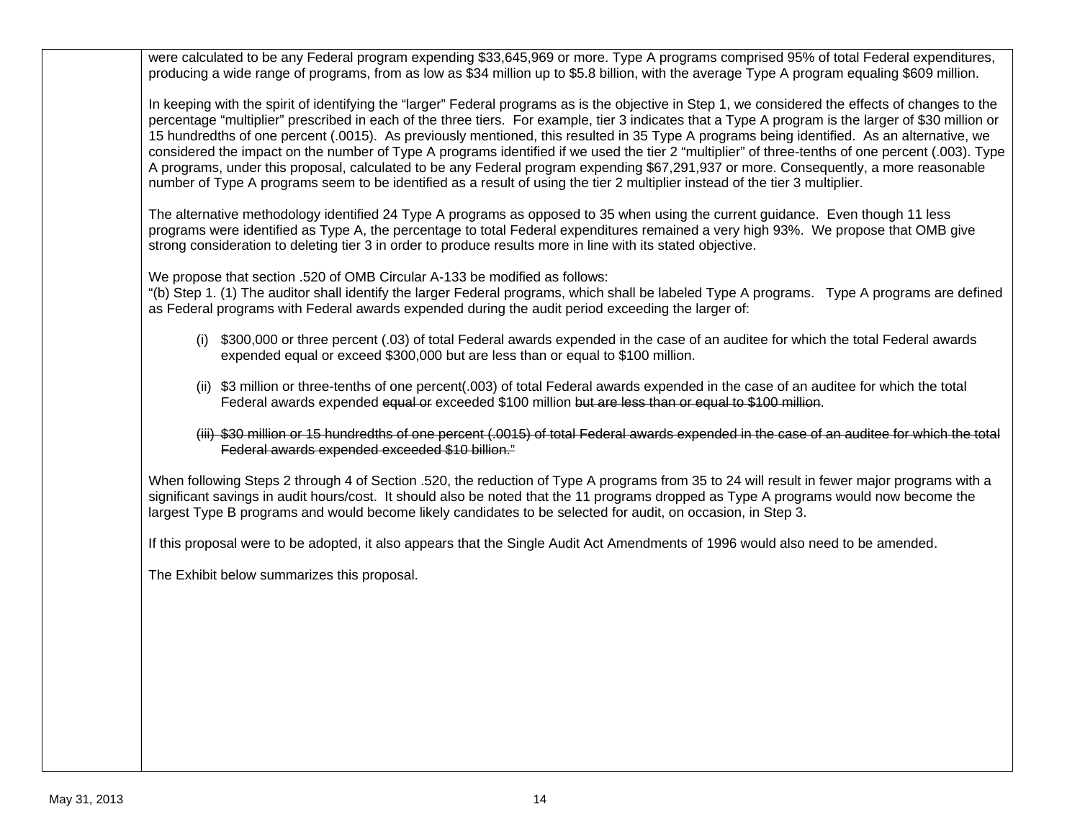were calculated to be any Federal program expending \$33,645,969 or more. Type A programs comprised 95% of total Federal expenditures, producing a wide range of programs, from as low as \$34 million up to \$5.8 billion, with the average Type A program equaling \$609 million.

In keeping with the spirit of identifying the "larger" Federal programs as is the objective in Step 1, we considered the effects of changes to the percentage "multiplier" prescribed in each of the three tiers. For example, tier 3 indicates that a Type A program is the larger of \$30 million or 15 hundredths of one percent (.0015). As previously mentioned, this resulted in 35 Type A programs being identified. As an alternative, we considered the impact on the number of Type A programs identified if we used the tier 2 "multiplier" of three-tenths of one percent (.003). Type A programs, under this proposal, calculated to be any Federal program expending \$67,291,937 or more. Consequently, a more reasonable number of Type A programs seem to be identified as a result of using the tier 2 multiplier instead of the tier 3 multiplier.

The alternative methodology identified 24 Type A programs as opposed to 35 when using the current guidance. Even though 11 less programs were identified as Type A, the percentage to total Federal expenditures remained a very high 93%. We propose that OMB give strong consideration to deleting tier 3 in order to produce results more in line with its stated objective.

We propose that section .520 of OMB Circular A-133 be modified as follows:

"(b) Step 1. (1) The auditor shall identify the larger Federal programs, which shall be labeled Type A programs. Type A programs are defined as Federal programs with Federal awards expended during the audit period exceeding the larger of:

- (i) \$300,000 or three percent (.03) of total Federal awards expended in the case of an auditee for which the total Federal awards expended equal or exceed \$300,000 but are less than or equal to \$100 million.
- (ii) \$3 million or three-tenths of one percent(.003) of total Federal awards expended in the case of an auditee for which the total Federal awards expended equal or exceeded \$100 million but are less than or equal to \$100 million.
- (iii) \$30 million or 15 hundredths of one percent (.0015) of total Federal awards expended in the case of an auditee for which the total Federal awards expended exceeded \$10 billion."

When following Steps 2 through 4 of Section .520, the reduction of Type A programs from 35 to 24 will result in fewer major programs with a significant savings in audit hours/cost. It should also be noted that the 11 programs dropped as Type A programs would now become the largest Type B programs and would become likely candidates to be selected for audit, on occasion, in Step 3.

If this proposal were to be adopted, it also appears that the Single Audit Act Amendments of 1996 would also need to be amended.

The Exhibit below summarizes this proposal.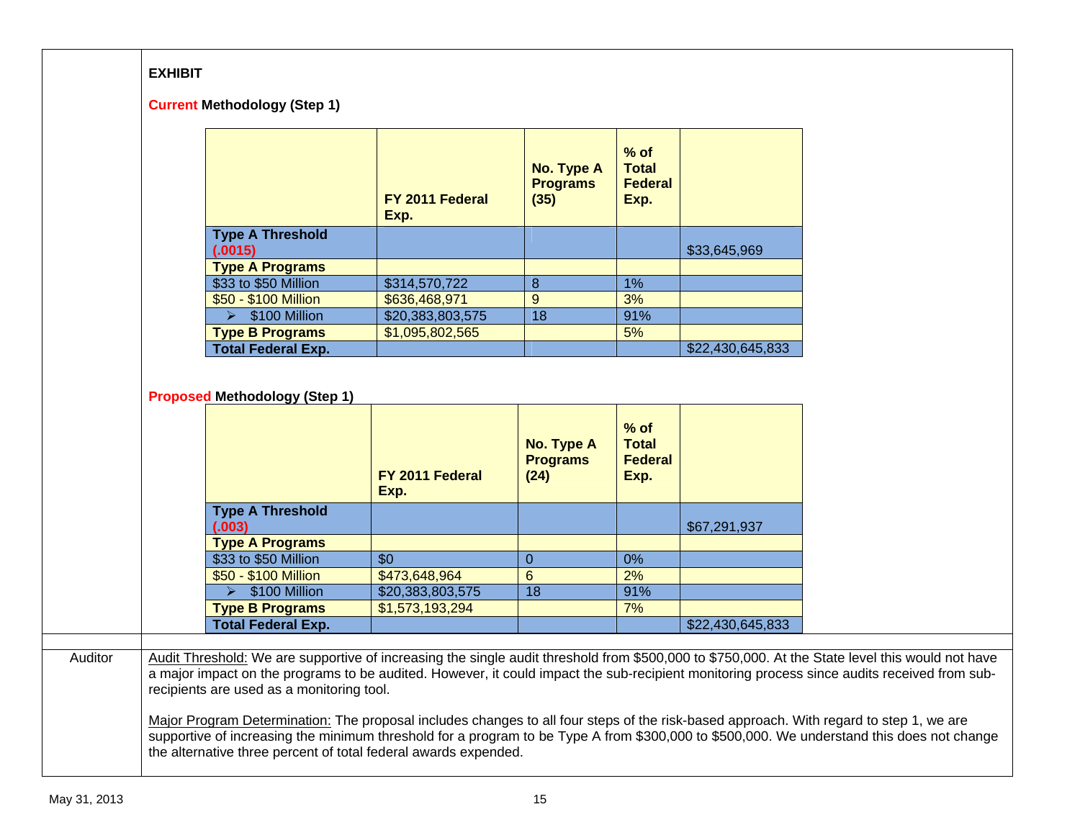## **EXHIBIT**

#### **Current Methodology (Step 1)**

|                                    | FY 2011 Federal<br>Exp. | No. Type A<br><b>Programs</b><br>(35) | $%$ of<br><b>Total</b><br><b>Federal</b><br>Exp. |                  |
|------------------------------------|-------------------------|---------------------------------------|--------------------------------------------------|------------------|
| <b>Type A Threshold</b><br>(.0015) |                         |                                       |                                                  | \$33,645,969     |
| <b>Type A Programs</b>             |                         |                                       |                                                  |                  |
| \$33 to \$50 Million               | \$314,570,722           | 8                                     | 1%                                               |                  |
| \$50 - \$100 Million               | \$636,468,971           | 9                                     | 3%                                               |                  |
| \$100 Million                      | \$20,383,803,575        | 18                                    | 91%                                              |                  |
| <b>Type B Programs</b>             | \$1,095,802,565         |                                       | 5%                                               |                  |
| <b>Total Federal Exp.</b>          |                         |                                       |                                                  | \$22,430,645,833 |

#### **Proposed Methodology (Step 1)**

|                                   | FY 2011 Federal<br>Exp. | No. Type A<br><b>Programs</b><br>(24) | $%$ of<br><b>Total</b><br><b>Federal</b><br>Exp. |                  |
|-----------------------------------|-------------------------|---------------------------------------|--------------------------------------------------|------------------|
| <b>Type A Threshold</b><br>(.003) |                         |                                       |                                                  | \$67,291,937     |
| <b>Type A Programs</b>            |                         |                                       |                                                  |                  |
| \$33 to \$50 Million              | \$0                     | 0                                     | 0%                                               |                  |
| \$50 - \$100 Million              | \$473,648,964           | 6                                     | 2%                                               |                  |
| \$100 Million                     | \$20,383,803,575        | 18                                    | 91%                                              |                  |
| <b>Type B Programs</b>            | \$1,573,193,294         |                                       | 7%                                               |                  |
| <b>Total Federal Exp.</b>         |                         |                                       |                                                  | \$22,430,645,833 |

#### Auditor Audit Threshold: We are supportive of increasing the single audit threshold from \$500,000 to \$750,000. At the State level this would not have a major impact on the programs to be audited. However, it could impact the sub-recipient monitoring process since audits received from subrecipients are used as a monitoring tool.

<u>Major Program Determination:</u> The proposal includes changes to all four steps of the risk-based approach. With regard to step 1, we are supportive of increasing the minimum threshold for a program to be Type A from \$300,000 to \$500,000. We understand this does not change the alternative three percent of total federal awards expended.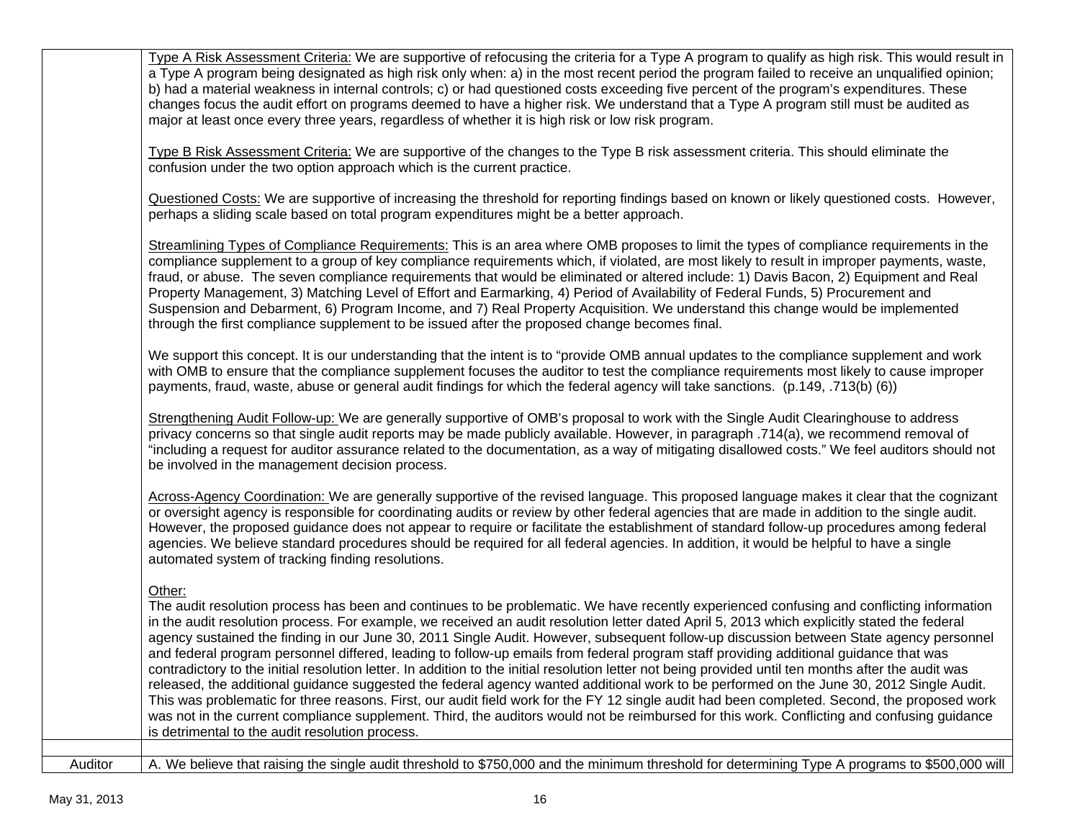|         | Type A Risk Assessment Criteria: We are supportive of refocusing the criteria for a Type A program to qualify as high risk. This would result in<br>a Type A program being designated as high risk only when: a) in the most recent period the program failed to receive an unqualified opinion;<br>b) had a material weakness in internal controls; c) or had questioned costs exceeding five percent of the program's expenditures. These<br>changes focus the audit effort on programs deemed to have a higher risk. We understand that a Type A program still must be audited as<br>major at least once every three years, regardless of whether it is high risk or low risk program.                                                                                                                                                                                                                                                                                                                                                                                                                                                                                                                                                     |
|---------|-----------------------------------------------------------------------------------------------------------------------------------------------------------------------------------------------------------------------------------------------------------------------------------------------------------------------------------------------------------------------------------------------------------------------------------------------------------------------------------------------------------------------------------------------------------------------------------------------------------------------------------------------------------------------------------------------------------------------------------------------------------------------------------------------------------------------------------------------------------------------------------------------------------------------------------------------------------------------------------------------------------------------------------------------------------------------------------------------------------------------------------------------------------------------------------------------------------------------------------------------|
|         | Type B Risk Assessment Criteria: We are supportive of the changes to the Type B risk assessment criteria. This should eliminate the<br>confusion under the two option approach which is the current practice.                                                                                                                                                                                                                                                                                                                                                                                                                                                                                                                                                                                                                                                                                                                                                                                                                                                                                                                                                                                                                                 |
|         | Questioned Costs: We are supportive of increasing the threshold for reporting findings based on known or likely questioned costs. However,<br>perhaps a sliding scale based on total program expenditures might be a better approach.                                                                                                                                                                                                                                                                                                                                                                                                                                                                                                                                                                                                                                                                                                                                                                                                                                                                                                                                                                                                         |
|         | Streamlining Types of Compliance Requirements: This is an area where OMB proposes to limit the types of compliance requirements in the<br>compliance supplement to a group of key compliance requirements which, if violated, are most likely to result in improper payments, waste,<br>fraud, or abuse. The seven compliance requirements that would be eliminated or altered include: 1) Davis Bacon, 2) Equipment and Real<br>Property Management, 3) Matching Level of Effort and Earmarking, 4) Period of Availability of Federal Funds, 5) Procurement and<br>Suspension and Debarment, 6) Program Income, and 7) Real Property Acquisition. We understand this change would be implemented<br>through the first compliance supplement to be issued after the proposed change becomes final.                                                                                                                                                                                                                                                                                                                                                                                                                                            |
|         | We support this concept. It is our understanding that the intent is to "provide OMB annual updates to the compliance supplement and work<br>with OMB to ensure that the compliance supplement focuses the auditor to test the compliance requirements most likely to cause improper<br>payments, fraud, waste, abuse or general audit findings for which the federal agency will take sanctions. (p.149, .713(b) (6))                                                                                                                                                                                                                                                                                                                                                                                                                                                                                                                                                                                                                                                                                                                                                                                                                         |
|         | Strengthening Audit Follow-up: We are generally supportive of OMB's proposal to work with the Single Audit Clearinghouse to address<br>privacy concerns so that single audit reports may be made publicly available. However, in paragraph .714(a), we recommend removal of<br>"including a request for auditor assurance related to the documentation, as a way of mitigating disallowed costs." We feel auditors should not<br>be involved in the management decision process.                                                                                                                                                                                                                                                                                                                                                                                                                                                                                                                                                                                                                                                                                                                                                              |
|         | Across-Agency Coordination: We are generally supportive of the revised language. This proposed language makes it clear that the cognizant<br>or oversight agency is responsible for coordinating audits or review by other federal agencies that are made in addition to the single audit.<br>However, the proposed guidance does not appear to require or facilitate the establishment of standard follow-up procedures among federal<br>agencies. We believe standard procedures should be required for all federal agencies. In addition, it would be helpful to have a single<br>automated system of tracking finding resolutions.                                                                                                                                                                                                                                                                                                                                                                                                                                                                                                                                                                                                        |
|         | Other:<br>The audit resolution process has been and continues to be problematic. We have recently experienced confusing and conflicting information<br>in the audit resolution process. For example, we received an audit resolution letter dated April 5, 2013 which explicitly stated the federal<br>agency sustained the finding in our June 30, 2011 Single Audit. However, subsequent follow-up discussion between State agency personnel<br>and federal program personnel differed, leading to follow-up emails from federal program staff providing additional guidance that was<br>contradictory to the initial resolution letter. In addition to the initial resolution letter not being provided until ten months after the audit was<br>released, the additional guidance suggested the federal agency wanted additional work to be performed on the June 30, 2012 Single Audit.<br>This was problematic for three reasons. First, our audit field work for the FY 12 single audit had been completed. Second, the proposed work<br>was not in the current compliance supplement. Third, the auditors would not be reimbursed for this work. Conflicting and confusing guidance<br>is detrimental to the audit resolution process. |
| Auditor | A. We believe that raising the single audit threshold to \$750,000 and the minimum threshold for determining Type A programs to \$500,000 will                                                                                                                                                                                                                                                                                                                                                                                                                                                                                                                                                                                                                                                                                                                                                                                                                                                                                                                                                                                                                                                                                                |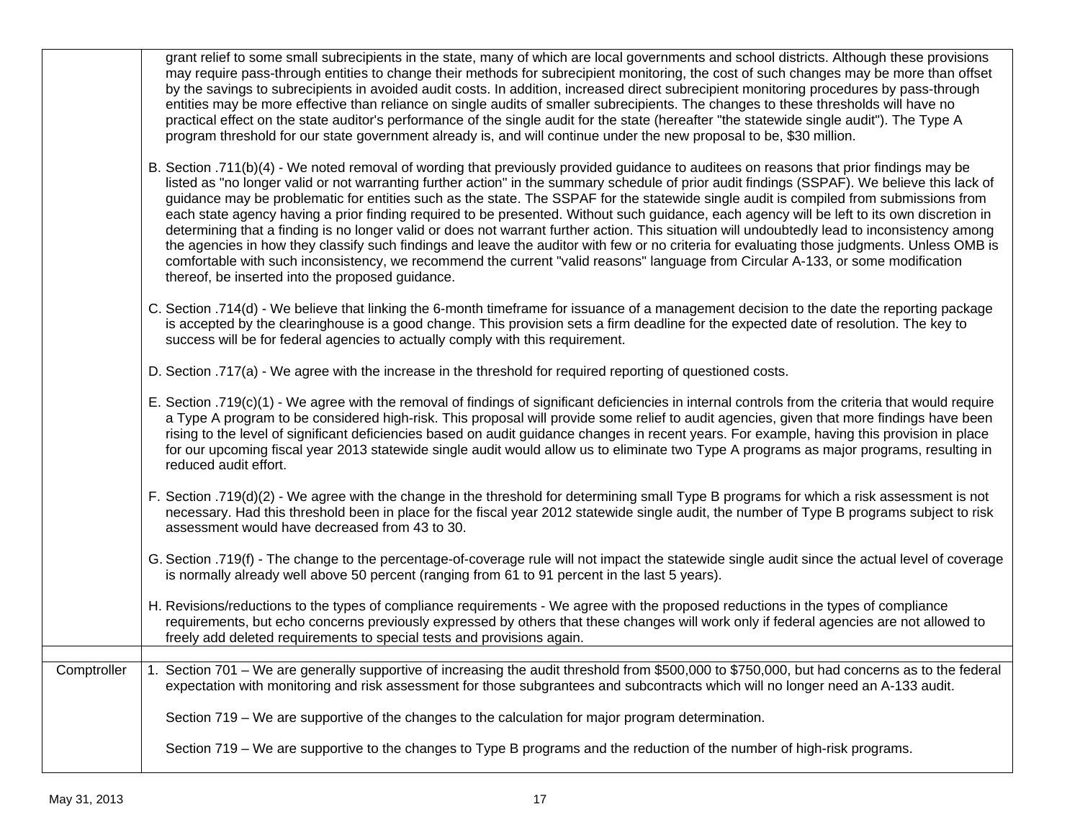|             | grant relief to some small subrecipients in the state, many of which are local governments and school districts. Although these provisions<br>may require pass-through entities to change their methods for subrecipient monitoring, the cost of such changes may be more than offset<br>by the savings to subrecipients in avoided audit costs. In addition, increased direct subrecipient monitoring procedures by pass-through<br>entities may be more effective than reliance on single audits of smaller subrecipients. The changes to these thresholds will have no<br>practical effect on the state auditor's performance of the single audit for the state (hereafter "the statewide single audit"). The Type A<br>program threshold for our state government already is, and will continue under the new proposal to be, \$30 million.                                                                                                                                                                                                                           |
|-------------|---------------------------------------------------------------------------------------------------------------------------------------------------------------------------------------------------------------------------------------------------------------------------------------------------------------------------------------------------------------------------------------------------------------------------------------------------------------------------------------------------------------------------------------------------------------------------------------------------------------------------------------------------------------------------------------------------------------------------------------------------------------------------------------------------------------------------------------------------------------------------------------------------------------------------------------------------------------------------------------------------------------------------------------------------------------------------|
|             | B. Section .711(b)(4) - We noted removal of wording that previously provided guidance to auditees on reasons that prior findings may be<br>listed as "no longer valid or not warranting further action" in the summary schedule of prior audit findings (SSPAF). We believe this lack of<br>guidance may be problematic for entities such as the state. The SSPAF for the statewide single audit is compiled from submissions from<br>each state agency having a prior finding required to be presented. Without such guidance, each agency will be left to its own discretion in<br>determining that a finding is no longer valid or does not warrant further action. This situation will undoubtedly lead to inconsistency among<br>the agencies in how they classify such findings and leave the auditor with few or no criteria for evaluating those judgments. Unless OMB is<br>comfortable with such inconsistency, we recommend the current "valid reasons" language from Circular A-133, or some modification<br>thereof, be inserted into the proposed guidance. |
|             | C. Section .714(d) - We believe that linking the 6-month timeframe for issuance of a management decision to the date the reporting package<br>is accepted by the clearinghouse is a good change. This provision sets a firm deadline for the expected date of resolution. The key to<br>success will be for federal agencies to actually comply with this requirement.                                                                                                                                                                                                                                                                                                                                                                                                                                                                                                                                                                                                                                                                                                    |
|             | D. Section .717(a) - We agree with the increase in the threshold for required reporting of questioned costs.                                                                                                                                                                                                                                                                                                                                                                                                                                                                                                                                                                                                                                                                                                                                                                                                                                                                                                                                                              |
|             | E. Section .719(c)(1) - We agree with the removal of findings of significant deficiencies in internal controls from the criteria that would require<br>a Type A program to be considered high-risk. This proposal will provide some relief to audit agencies, given that more findings have been<br>rising to the level of significant deficiencies based on audit guidance changes in recent years. For example, having this provision in place<br>for our upcoming fiscal year 2013 statewide single audit would allow us to eliminate two Type A programs as major programs, resulting in<br>reduced audit effort.                                                                                                                                                                                                                                                                                                                                                                                                                                                     |
|             | F. Section .719(d)(2) - We agree with the change in the threshold for determining small Type B programs for which a risk assessment is not<br>necessary. Had this threshold been in place for the fiscal year 2012 statewide single audit, the number of Type B programs subject to risk<br>assessment would have decreased from 43 to 30.                                                                                                                                                                                                                                                                                                                                                                                                                                                                                                                                                                                                                                                                                                                                |
|             | G. Section .719(f) - The change to the percentage-of-coverage rule will not impact the statewide single audit since the actual level of coverage<br>is normally already well above 50 percent (ranging from 61 to 91 percent in the last 5 years).                                                                                                                                                                                                                                                                                                                                                                                                                                                                                                                                                                                                                                                                                                                                                                                                                        |
|             | H. Revisions/reductions to the types of compliance requirements - We agree with the proposed reductions in the types of compliance<br>requirements, but echo concerns previously expressed by others that these changes will work only if federal agencies are not allowed to<br>freely add deleted requirements to special tests and provisions again.                                                                                                                                                                                                                                                                                                                                                                                                                                                                                                                                                                                                                                                                                                                   |
|             |                                                                                                                                                                                                                                                                                                                                                                                                                                                                                                                                                                                                                                                                                                                                                                                                                                                                                                                                                                                                                                                                           |
| Comptroller | 1. Section 701 – We are generally supportive of increasing the audit threshold from \$500,000 to \$750,000, but had concerns as to the federal<br>expectation with monitoring and risk assessment for those subgrantees and subcontracts which will no longer need an A-133 audit.                                                                                                                                                                                                                                                                                                                                                                                                                                                                                                                                                                                                                                                                                                                                                                                        |
|             | Section 719 – We are supportive of the changes to the calculation for major program determination.                                                                                                                                                                                                                                                                                                                                                                                                                                                                                                                                                                                                                                                                                                                                                                                                                                                                                                                                                                        |
|             | Section 719 – We are supportive to the changes to Type B programs and the reduction of the number of high-risk programs.                                                                                                                                                                                                                                                                                                                                                                                                                                                                                                                                                                                                                                                                                                                                                                                                                                                                                                                                                  |
|             |                                                                                                                                                                                                                                                                                                                                                                                                                                                                                                                                                                                                                                                                                                                                                                                                                                                                                                                                                                                                                                                                           |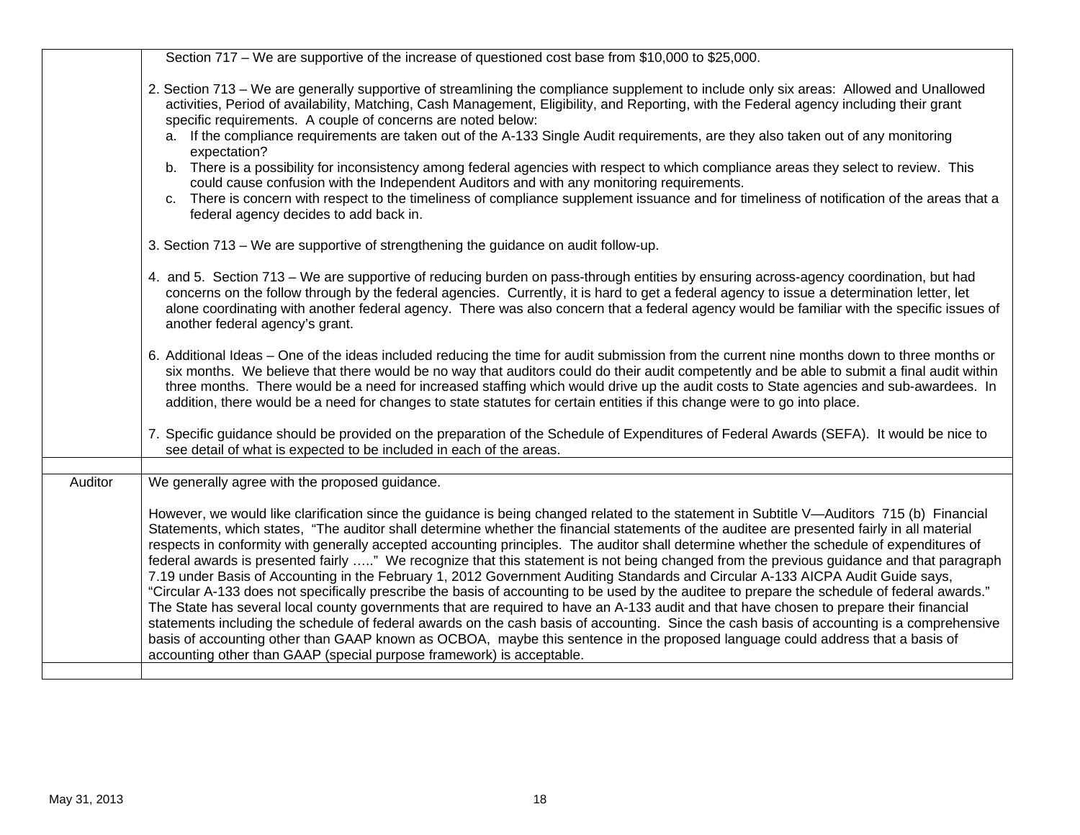|         | Section 717 – We are supportive of the increase of questioned cost base from \$10,000 to \$25,000.                                                                                                                                                                                                                                                                                                                                                                                                                                                                                                                                                                                                                                                                                                                                                                                                                                                                                                                                                                                                                                                                                                                                                                                                                                                                         |
|---------|----------------------------------------------------------------------------------------------------------------------------------------------------------------------------------------------------------------------------------------------------------------------------------------------------------------------------------------------------------------------------------------------------------------------------------------------------------------------------------------------------------------------------------------------------------------------------------------------------------------------------------------------------------------------------------------------------------------------------------------------------------------------------------------------------------------------------------------------------------------------------------------------------------------------------------------------------------------------------------------------------------------------------------------------------------------------------------------------------------------------------------------------------------------------------------------------------------------------------------------------------------------------------------------------------------------------------------------------------------------------------|
|         | 2. Section 713 – We are generally supportive of streamlining the compliance supplement to include only six areas: Allowed and Unallowed<br>activities, Period of availability, Matching, Cash Management, Eligibility, and Reporting, with the Federal agency including their grant<br>specific requirements. A couple of concerns are noted below:                                                                                                                                                                                                                                                                                                                                                                                                                                                                                                                                                                                                                                                                                                                                                                                                                                                                                                                                                                                                                        |
|         | a. If the compliance requirements are taken out of the A-133 Single Audit requirements, are they also taken out of any monitoring<br>expectation?                                                                                                                                                                                                                                                                                                                                                                                                                                                                                                                                                                                                                                                                                                                                                                                                                                                                                                                                                                                                                                                                                                                                                                                                                          |
|         | b. There is a possibility for inconsistency among federal agencies with respect to which compliance areas they select to review. This<br>could cause confusion with the Independent Auditors and with any monitoring requirements.                                                                                                                                                                                                                                                                                                                                                                                                                                                                                                                                                                                                                                                                                                                                                                                                                                                                                                                                                                                                                                                                                                                                         |
|         | c. There is concern with respect to the timeliness of compliance supplement issuance and for timeliness of notification of the areas that a<br>federal agency decides to add back in.                                                                                                                                                                                                                                                                                                                                                                                                                                                                                                                                                                                                                                                                                                                                                                                                                                                                                                                                                                                                                                                                                                                                                                                      |
|         | 3. Section 713 – We are supportive of strengthening the guidance on audit follow-up.                                                                                                                                                                                                                                                                                                                                                                                                                                                                                                                                                                                                                                                                                                                                                                                                                                                                                                                                                                                                                                                                                                                                                                                                                                                                                       |
|         | 4. and 5. Section 713 – We are supportive of reducing burden on pass-through entities by ensuring across-agency coordination, but had<br>concerns on the follow through by the federal agencies. Currently, it is hard to get a federal agency to issue a determination letter, let<br>alone coordinating with another federal agency. There was also concern that a federal agency would be familiar with the specific issues of<br>another federal agency's grant.                                                                                                                                                                                                                                                                                                                                                                                                                                                                                                                                                                                                                                                                                                                                                                                                                                                                                                       |
|         | 6. Additional Ideas – One of the ideas included reducing the time for audit submission from the current nine months down to three months or<br>six months. We believe that there would be no way that auditors could do their audit competently and be able to submit a final audit within<br>three months. There would be a need for increased staffing which would drive up the audit costs to State agencies and sub-awardees. In<br>addition, there would be a need for changes to state statutes for certain entities if this change were to go into place.                                                                                                                                                                                                                                                                                                                                                                                                                                                                                                                                                                                                                                                                                                                                                                                                           |
|         | 7. Specific guidance should be provided on the preparation of the Schedule of Expenditures of Federal Awards (SEFA). It would be nice to<br>see detail of what is expected to be included in each of the areas.                                                                                                                                                                                                                                                                                                                                                                                                                                                                                                                                                                                                                                                                                                                                                                                                                                                                                                                                                                                                                                                                                                                                                            |
| Auditor | We generally agree with the proposed guidance.                                                                                                                                                                                                                                                                                                                                                                                                                                                                                                                                                                                                                                                                                                                                                                                                                                                                                                                                                                                                                                                                                                                                                                                                                                                                                                                             |
|         | However, we would like clarification since the guidance is being changed related to the statement in Subtitle V—Auditors 715 (b) Financial<br>Statements, which states, "The auditor shall determine whether the financial statements of the auditee are presented fairly in all material<br>respects in conformity with generally accepted accounting principles. The auditor shall determine whether the schedule of expenditures of<br>federal awards is presented fairly " We recognize that this statement is not being changed from the previous guidance and that paragraph<br>7.19 under Basis of Accounting in the February 1, 2012 Government Auditing Standards and Circular A-133 AICPA Audit Guide says,<br>"Circular A-133 does not specifically prescribe the basis of accounting to be used by the auditee to prepare the schedule of federal awards."<br>The State has several local county governments that are required to have an A-133 audit and that have chosen to prepare their financial<br>statements including the schedule of federal awards on the cash basis of accounting. Since the cash basis of accounting is a comprehensive<br>basis of accounting other than GAAP known as OCBOA, maybe this sentence in the proposed language could address that a basis of<br>accounting other than GAAP (special purpose framework) is acceptable. |
|         |                                                                                                                                                                                                                                                                                                                                                                                                                                                                                                                                                                                                                                                                                                                                                                                                                                                                                                                                                                                                                                                                                                                                                                                                                                                                                                                                                                            |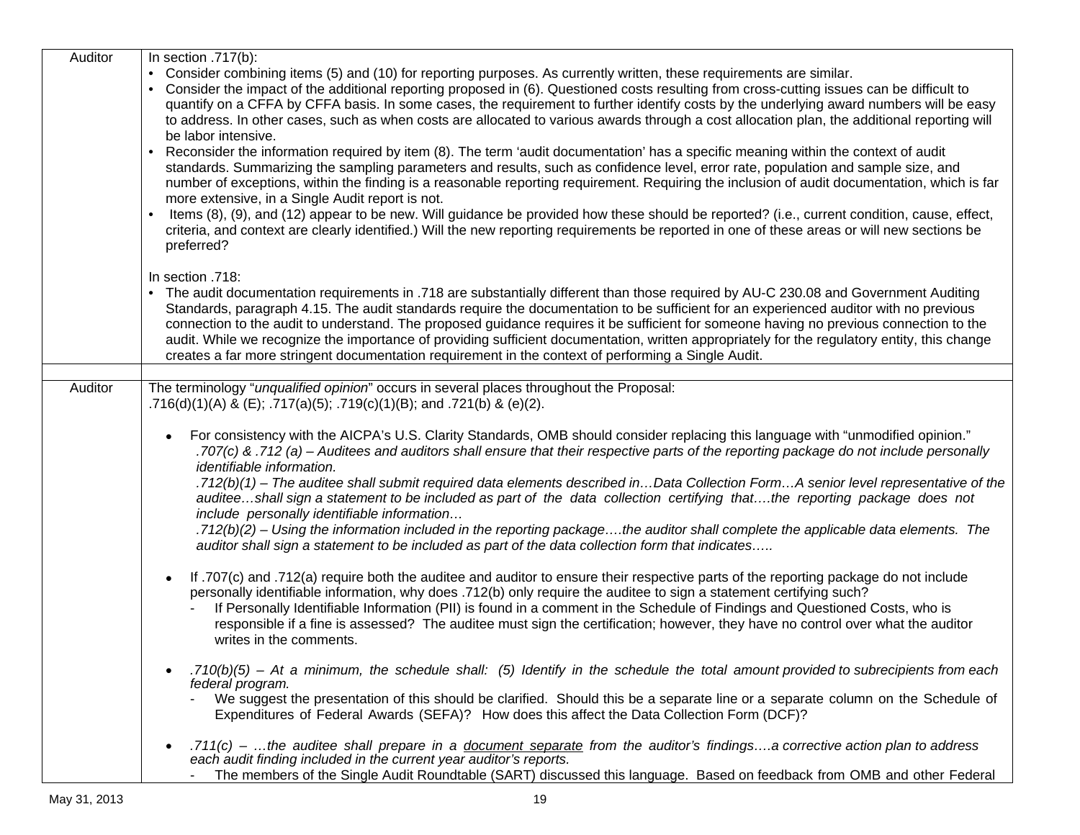| Auditor | In section $.717(b)$ :                                                                                                                                                                                                                                                                                                                                                                                                                                                                                                                                                                                                                                                         |
|---------|--------------------------------------------------------------------------------------------------------------------------------------------------------------------------------------------------------------------------------------------------------------------------------------------------------------------------------------------------------------------------------------------------------------------------------------------------------------------------------------------------------------------------------------------------------------------------------------------------------------------------------------------------------------------------------|
|         | • Consider combining items (5) and (10) for reporting purposes. As currently written, these requirements are similar.<br>Consider the impact of the additional reporting proposed in (6). Questioned costs resulting from cross-cutting issues can be difficult to<br>quantify on a CFFA by CFFA basis. In some cases, the requirement to further identify costs by the underlying award numbers will be easy<br>to address. In other cases, such as when costs are allocated to various awards through a cost allocation plan, the additional reporting will<br>be labor intensive.                                                                                           |
|         | Reconsider the information required by item (8). The term 'audit documentation' has a specific meaning within the context of audit<br>standards. Summarizing the sampling parameters and results, such as confidence level, error rate, population and sample size, and<br>number of exceptions, within the finding is a reasonable reporting requirement. Requiring the inclusion of audit documentation, which is far<br>more extensive, in a Single Audit report is not.                                                                                                                                                                                                    |
|         | Items (8), (9), and (12) appear to be new. Will guidance be provided how these should be reported? (i.e., current condition, cause, effect,<br>criteria, and context are clearly identified.) Will the new reporting requirements be reported in one of these areas or will new sections be<br>preferred?                                                                                                                                                                                                                                                                                                                                                                      |
|         | In section .718:                                                                                                                                                                                                                                                                                                                                                                                                                                                                                                                                                                                                                                                               |
|         | The audit documentation requirements in .718 are substantially different than those required by AU-C 230.08 and Government Auditing<br>Standards, paragraph 4.15. The audit standards require the documentation to be sufficient for an experienced auditor with no previous<br>connection to the audit to understand. The proposed guidance requires it be sufficient for someone having no previous connection to the<br>audit. While we recognize the importance of providing sufficient documentation, written appropriately for the regulatory entity, this change<br>creates a far more stringent documentation requirement in the context of performing a Single Audit. |
|         |                                                                                                                                                                                                                                                                                                                                                                                                                                                                                                                                                                                                                                                                                |
| Auditor | The terminology "unqualified opinion" occurs in several places throughout the Proposal:<br>.716(d)(1)(A) & (E); .717(a)(5); .719(c)(1)(B); and .721(b) & (e)(2).                                                                                                                                                                                                                                                                                                                                                                                                                                                                                                               |
|         | For consistency with the AICPA's U.S. Clarity Standards, OMB should consider replacing this language with "unmodified opinion."<br>.707(c) & .712 (a) – Auditees and auditors shall ensure that their respective parts of the reporting package do not include personally<br><i>identifiable information.</i><br>.712(b)(1) – The auditee shall submit required data elements described inData Collection FormA senior level representative of the                                                                                                                                                                                                                             |
|         | auditeeshall sign a statement to be included as part of the data collection certifying thatthe reporting package does not<br>include personally identifiable information<br>.712(b)(2) – Using the information included in the reporting packagethe auditor shall complete the applicable data elements. The                                                                                                                                                                                                                                                                                                                                                                   |
|         | auditor shall sign a statement to be included as part of the data collection form that indicates                                                                                                                                                                                                                                                                                                                                                                                                                                                                                                                                                                               |
|         | If .707(c) and .712(a) require both the auditee and auditor to ensure their respective parts of the reporting package do not include<br>personally identifiable information, why does .712(b) only require the auditee to sign a statement certifying such?<br>If Personally Identifiable Information (PII) is found in a comment in the Schedule of Findings and Questioned Costs, who is<br>responsible if a fine is assessed? The auditee must sign the certification; however, they have no control over what the auditor<br>writes in the comments.                                                                                                                       |
|         | .710(b)(5) – At a minimum, the schedule shall: (5) Identify in the schedule the total amount provided to subrecipients from each<br>federal program.                                                                                                                                                                                                                                                                                                                                                                                                                                                                                                                           |
|         | We suggest the presentation of this should be clarified. Should this be a separate line or a separate column on the Schedule of<br>Expenditures of Federal Awards (SEFA)? How does this affect the Data Collection Form (DCF)?                                                                                                                                                                                                                                                                                                                                                                                                                                                 |
|         | .711(c) – the auditee shall prepare in a document separate from the auditor's findingsa corrective action plan to address<br>each audit finding included in the current year auditor's reports.                                                                                                                                                                                                                                                                                                                                                                                                                                                                                |
|         | The members of the Single Audit Roundtable (SART) discussed this language. Based on feedback from OMB and other Federal                                                                                                                                                                                                                                                                                                                                                                                                                                                                                                                                                        |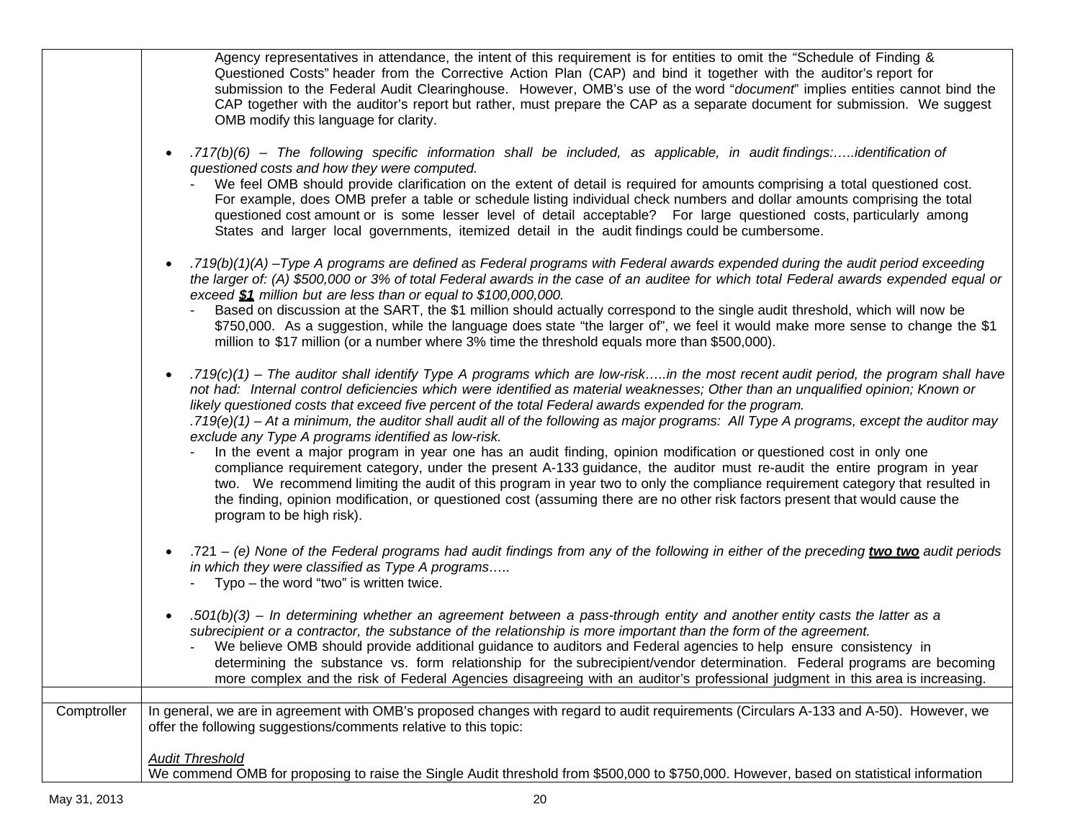|             | Agency representatives in attendance, the intent of this requirement is for entities to omit the "Schedule of Finding &<br>Questioned Costs" header from the Corrective Action Plan (CAP) and bind it together with the auditor's report for<br>submission to the Federal Audit Clearinghouse. However, OMB's use of the word "document" implies entities cannot bind the<br>CAP together with the auditor's report but rather, must prepare the CAP as a separate document for submission. We suggest<br>OMB modify this language for clarity.                                                                                                                                                                                                                                                                                                                                                                                                                                                                                                                                                                                 |
|-------------|---------------------------------------------------------------------------------------------------------------------------------------------------------------------------------------------------------------------------------------------------------------------------------------------------------------------------------------------------------------------------------------------------------------------------------------------------------------------------------------------------------------------------------------------------------------------------------------------------------------------------------------------------------------------------------------------------------------------------------------------------------------------------------------------------------------------------------------------------------------------------------------------------------------------------------------------------------------------------------------------------------------------------------------------------------------------------------------------------------------------------------|
|             | .717(b)(6) – The following specific information shall be included, as applicable, in audit findings:identification of<br>questioned costs and how they were computed.<br>We feel OMB should provide clarification on the extent of detail is required for amounts comprising a total questioned cost.<br>For example, does OMB prefer a table or schedule listing individual check numbers and dollar amounts comprising the total<br>questioned cost amount or is some lesser level of detail acceptable? For large questioned costs, particularly among<br>States and larger local governments, itemized detail in the audit findings could be cumbersome.                                                                                                                                                                                                                                                                                                                                                                                                                                                                    |
|             | .719(b)(1)(A) -Type A programs are defined as Federal programs with Federal awards expended during the audit period exceeding<br>the larger of: (A) \$500,000 or 3% of total Federal awards in the case of an auditee for which total Federal awards expended equal or<br>exceed \$1 million but are less than or equal to \$100,000,000.<br>Based on discussion at the SART, the \$1 million should actually correspond to the single audit threshold, which will now be<br>\$750,000. As a suggestion, while the language does state "the larger of", we feel it would make more sense to change the \$1<br>million to \$17 million (or a number where 3% time the threshold equals more than \$500,000).                                                                                                                                                                                                                                                                                                                                                                                                                     |
|             | .719(c)(1) - The auditor shall identify Type A programs which are low-riskin the most recent audit period, the program shall have<br>not had: Internal control deficiencies which were identified as material weaknesses; Other than an unqualified opinion; Known or<br>likely questioned costs that exceed five percent of the total Federal awards expended for the program.<br>.719(e)(1) – At a minimum, the auditor shall audit all of the following as major programs: All Type A programs, except the auditor may<br>exclude any Type A programs identified as low-risk.<br>In the event a major program in year one has an audit finding, opinion modification or questioned cost in only one<br>compliance requirement category, under the present A-133 guidance, the auditor must re-audit the entire program in year<br>two. We recommend limiting the audit of this program in year two to only the compliance requirement category that resulted in<br>the finding, opinion modification, or questioned cost (assuming there are no other risk factors present that would cause the<br>program to be high risk). |
|             | T21 – (e) None of the Federal programs had audit findings from any of the following in either of the preceding two two audit periods<br>in which they were classified as Type A programs<br>- Typo - the word "two" is written twice.                                                                                                                                                                                                                                                                                                                                                                                                                                                                                                                                                                                                                                                                                                                                                                                                                                                                                           |
|             | .501(b)(3) – In determining whether an agreement between a pass-through entity and another entity casts the latter as a<br>subrecipient or a contractor, the substance of the relationship is more important than the form of the agreement.<br>- We believe OMB should provide additional guidance to auditors and Federal agencies to help ensure consistency in<br>determining the substance vs. form relationship for the subrecipient/vendor determination. Federal programs are becoming<br>more complex and the risk of Federal Agencies disagreeing with an auditor's professional judgment in this area is increasing.                                                                                                                                                                                                                                                                                                                                                                                                                                                                                                 |
|             |                                                                                                                                                                                                                                                                                                                                                                                                                                                                                                                                                                                                                                                                                                                                                                                                                                                                                                                                                                                                                                                                                                                                 |
| Comptroller | In general, we are in agreement with OMB's proposed changes with regard to audit requirements (Circulars A-133 and A-50). However, we<br>offer the following suggestions/comments relative to this topic:                                                                                                                                                                                                                                                                                                                                                                                                                                                                                                                                                                                                                                                                                                                                                                                                                                                                                                                       |
|             | <b>Audit Threshold</b><br>We commend OMB for proposing to raise the Single Audit threshold from \$500,000 to \$750,000. However, based on statistical information                                                                                                                                                                                                                                                                                                                                                                                                                                                                                                                                                                                                                                                                                                                                                                                                                                                                                                                                                               |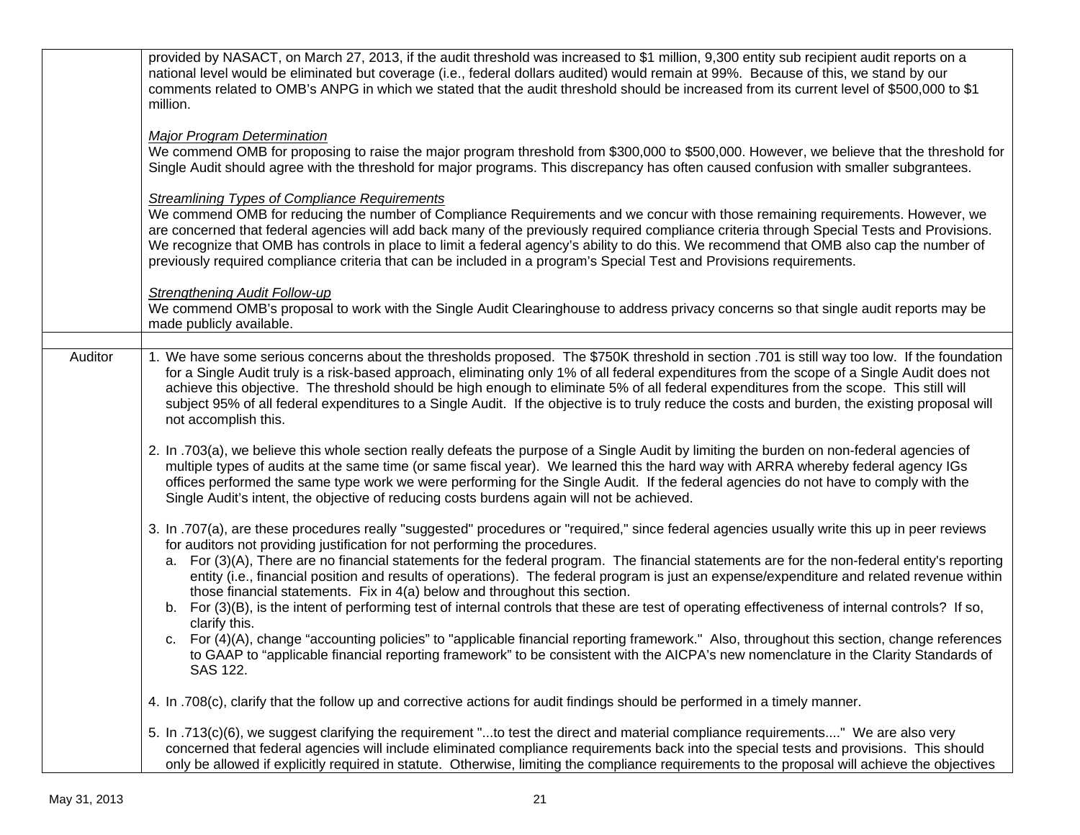|         | provided by NASACT, on March 27, 2013, if the audit threshold was increased to \$1 million, 9,300 entity sub recipient audit reports on a<br>national level would be eliminated but coverage (i.e., federal dollars audited) would remain at 99%. Because of this, we stand by our<br>comments related to OMB's ANPG in which we stated that the audit threshold should be increased from its current level of \$500,000 to \$1<br>million.                                                                                                                                                                                                                                                                                                                                                                                                                                                                                                                                                                                                                                          |
|---------|--------------------------------------------------------------------------------------------------------------------------------------------------------------------------------------------------------------------------------------------------------------------------------------------------------------------------------------------------------------------------------------------------------------------------------------------------------------------------------------------------------------------------------------------------------------------------------------------------------------------------------------------------------------------------------------------------------------------------------------------------------------------------------------------------------------------------------------------------------------------------------------------------------------------------------------------------------------------------------------------------------------------------------------------------------------------------------------|
|         | <b>Major Program Determination</b><br>We commend OMB for proposing to raise the major program threshold from \$300,000 to \$500,000. However, we believe that the threshold for<br>Single Audit should agree with the threshold for major programs. This discrepancy has often caused confusion with smaller subgrantees.                                                                                                                                                                                                                                                                                                                                                                                                                                                                                                                                                                                                                                                                                                                                                            |
|         | <b>Streamlining Types of Compliance Requirements</b><br>We commend OMB for reducing the number of Compliance Requirements and we concur with those remaining requirements. However, we<br>are concerned that federal agencies will add back many of the previously required compliance criteria through Special Tests and Provisions.<br>We recognize that OMB has controls in place to limit a federal agency's ability to do this. We recommend that OMB also cap the number of<br>previously required compliance criteria that can be included in a program's Special Test and Provisions requirements.                                                                                                                                                                                                                                                                                                                                                                                                                                                                           |
|         | <b>Strengthening Audit Follow-up</b><br>We commend OMB's proposal to work with the Single Audit Clearinghouse to address privacy concerns so that single audit reports may be<br>made publicly available.                                                                                                                                                                                                                                                                                                                                                                                                                                                                                                                                                                                                                                                                                                                                                                                                                                                                            |
| Auditor | 1. We have some serious concerns about the thresholds proposed. The \$750K threshold in section .701 is still way too low. If the foundation<br>for a Single Audit truly is a risk-based approach, eliminating only 1% of all federal expenditures from the scope of a Single Audit does not<br>achieve this objective. The threshold should be high enough to eliminate 5% of all federal expenditures from the scope. This still will<br>subject 95% of all federal expenditures to a Single Audit. If the objective is to truly reduce the costs and burden, the existing proposal will<br>not accomplish this.                                                                                                                                                                                                                                                                                                                                                                                                                                                                   |
|         | 2. In .703(a), we believe this whole section really defeats the purpose of a Single Audit by limiting the burden on non-federal agencies of<br>multiple types of audits at the same time (or same fiscal year). We learned this the hard way with ARRA whereby federal agency IGs<br>offices performed the same type work we were performing for the Single Audit. If the federal agencies do not have to comply with the<br>Single Audit's intent, the objective of reducing costs burdens again will not be achieved.                                                                                                                                                                                                                                                                                                                                                                                                                                                                                                                                                              |
|         | 3. In .707(a), are these procedures really "suggested" procedures or "required," since federal agencies usually write this up in peer reviews<br>for auditors not providing justification for not performing the procedures.<br>a. For (3)(A), There are no financial statements for the federal program. The financial statements are for the non-federal entity's reporting<br>entity (i.e., financial position and results of operations). The federal program is just an expense/expenditure and related revenue within<br>those financial statements. Fix in 4(a) below and throughout this section.<br>For (3)(B), is the intent of performing test of internal controls that these are test of operating effectiveness of internal controls? If so,<br>b.<br>clarify this.<br>c. For (4)(A), change "accounting policies" to "applicable financial reporting framework." Also, throughout this section, change references<br>to GAAP to "applicable financial reporting framework" to be consistent with the AICPA's new nomenclature in the Clarity Standards of<br>SAS 122. |
|         | 4. In .708(c), clarify that the follow up and corrective actions for audit findings should be performed in a timely manner.                                                                                                                                                                                                                                                                                                                                                                                                                                                                                                                                                                                                                                                                                                                                                                                                                                                                                                                                                          |
|         | 5. In .713(c)(6), we suggest clarifying the requirement "to test the direct and material compliance requirements" We are also very<br>concerned that federal agencies will include eliminated compliance requirements back into the special tests and provisions. This should<br>only be allowed if explicitly required in statute. Otherwise, limiting the compliance requirements to the proposal will achieve the objectives                                                                                                                                                                                                                                                                                                                                                                                                                                                                                                                                                                                                                                                      |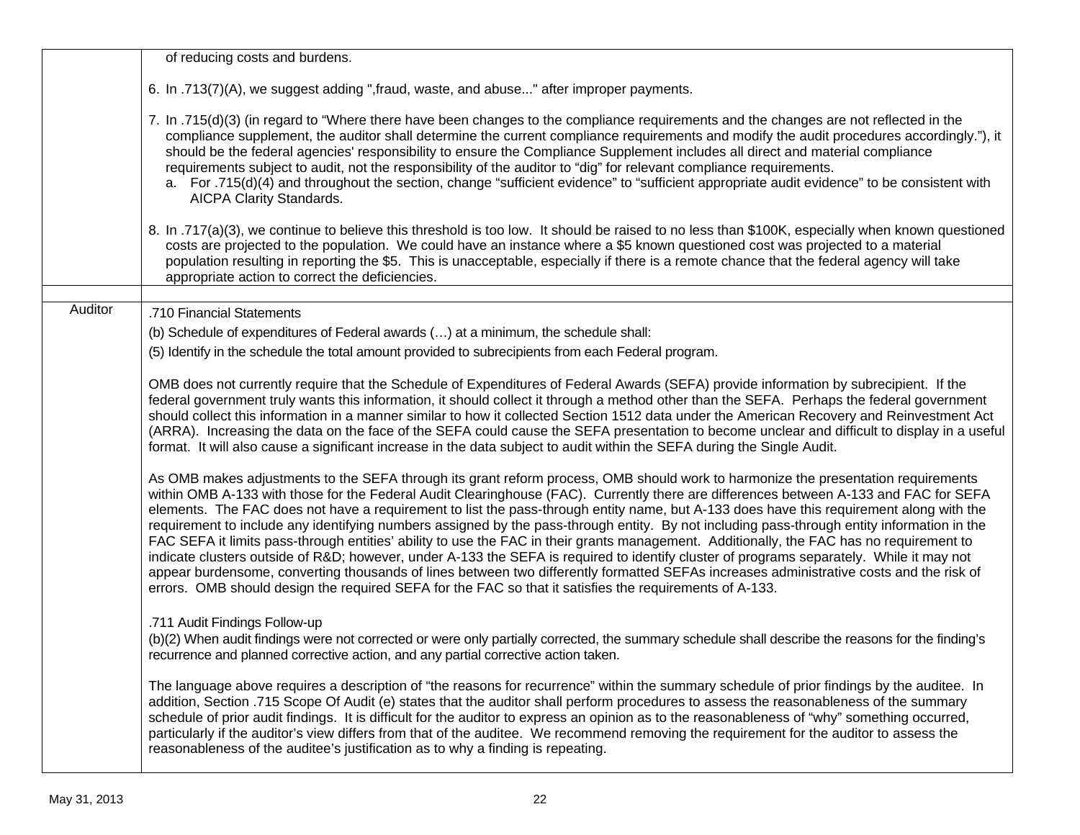|         | of reducing costs and burdens.                                                                                                                                                                                                                                                                                                                                                                                                                                                                                                                                                                                                                                                                                                                                                                                                                                                                                                                                                                                                                                                                                    |
|---------|-------------------------------------------------------------------------------------------------------------------------------------------------------------------------------------------------------------------------------------------------------------------------------------------------------------------------------------------------------------------------------------------------------------------------------------------------------------------------------------------------------------------------------------------------------------------------------------------------------------------------------------------------------------------------------------------------------------------------------------------------------------------------------------------------------------------------------------------------------------------------------------------------------------------------------------------------------------------------------------------------------------------------------------------------------------------------------------------------------------------|
|         | 6. In .713(7)(A), we suggest adding ", fraud, waste, and abuse" after improper payments.                                                                                                                                                                                                                                                                                                                                                                                                                                                                                                                                                                                                                                                                                                                                                                                                                                                                                                                                                                                                                          |
|         | 7. In .715(d)(3) (in regard to "Where there have been changes to the compliance requirements and the changes are not reflected in the<br>compliance supplement, the auditor shall determine the current compliance requirements and modify the audit procedures accordingly."), it<br>should be the federal agencies' responsibility to ensure the Compliance Supplement includes all direct and material compliance<br>requirements subject to audit, not the responsibility of the auditor to "dig" for relevant compliance requirements.<br>a. For .715(d)(4) and throughout the section, change "sufficient evidence" to "sufficient appropriate audit evidence" to be consistent with<br>AICPA Clarity Standards.                                                                                                                                                                                                                                                                                                                                                                                            |
|         | 8. In .717(a)(3), we continue to believe this threshold is too low. It should be raised to no less than \$100K, especially when known questioned<br>costs are projected to the population. We could have an instance where a \$5 known questioned cost was projected to a material<br>population resulting in reporting the \$5. This is unacceptable, especially if there is a remote chance that the federal agency will take<br>appropriate action to correct the deficiencies.                                                                                                                                                                                                                                                                                                                                                                                                                                                                                                                                                                                                                                |
| Auditor | .710 Financial Statements                                                                                                                                                                                                                                                                                                                                                                                                                                                                                                                                                                                                                                                                                                                                                                                                                                                                                                                                                                                                                                                                                         |
|         | (b) Schedule of expenditures of Federal awards () at a minimum, the schedule shall:                                                                                                                                                                                                                                                                                                                                                                                                                                                                                                                                                                                                                                                                                                                                                                                                                                                                                                                                                                                                                               |
|         | (5) Identify in the schedule the total amount provided to subrecipients from each Federal program.                                                                                                                                                                                                                                                                                                                                                                                                                                                                                                                                                                                                                                                                                                                                                                                                                                                                                                                                                                                                                |
|         | OMB does not currently require that the Schedule of Expenditures of Federal Awards (SEFA) provide information by subrecipient. If the<br>federal government truly wants this information, it should collect it through a method other than the SEFA. Perhaps the federal government<br>should collect this information in a manner similar to how it collected Section 1512 data under the American Recovery and Reinvestment Act<br>(ARRA). Increasing the data on the face of the SEFA could cause the SEFA presentation to become unclear and difficult to display in a useful<br>format. It will also cause a significant increase in the data subject to audit within the SEFA during the Single Audit.                                                                                                                                                                                                                                                                                                                                                                                                      |
|         | As OMB makes adjustments to the SEFA through its grant reform process, OMB should work to harmonize the presentation requirements<br>within OMB A-133 with those for the Federal Audit Clearinghouse (FAC). Currently there are differences between A-133 and FAC for SEFA<br>elements. The FAC does not have a requirement to list the pass-through entity name, but A-133 does have this requirement along with the<br>requirement to include any identifying numbers assigned by the pass-through entity. By not including pass-through entity information in the<br>FAC SEFA it limits pass-through entities' ability to use the FAC in their grants management. Additionally, the FAC has no requirement to<br>indicate clusters outside of R&D however, under A-133 the SEFA is required to identify cluster of programs separately. While it may not<br>appear burdensome, converting thousands of lines between two differently formatted SEFAs increases administrative costs and the risk of<br>errors. OMB should design the required SEFA for the FAC so that it satisfies the requirements of A-133. |
|         | .711 Audit Findings Follow-up<br>(b)(2) When audit findings were not corrected or were only partially corrected, the summary schedule shall describe the reasons for the finding's<br>recurrence and planned corrective action, and any partial corrective action taken.                                                                                                                                                                                                                                                                                                                                                                                                                                                                                                                                                                                                                                                                                                                                                                                                                                          |
|         | The language above requires a description of "the reasons for recurrence" within the summary schedule of prior findings by the auditee. In<br>addition, Section .715 Scope Of Audit (e) states that the auditor shall perform procedures to assess the reasonableness of the summary<br>schedule of prior audit findings. It is difficult for the auditor to express an opinion as to the reasonableness of "why" something occurred,<br>particularly if the auditor's view differs from that of the auditee. We recommend removing the requirement for the auditor to assess the<br>reasonableness of the auditee's justification as to why a finding is repeating.                                                                                                                                                                                                                                                                                                                                                                                                                                              |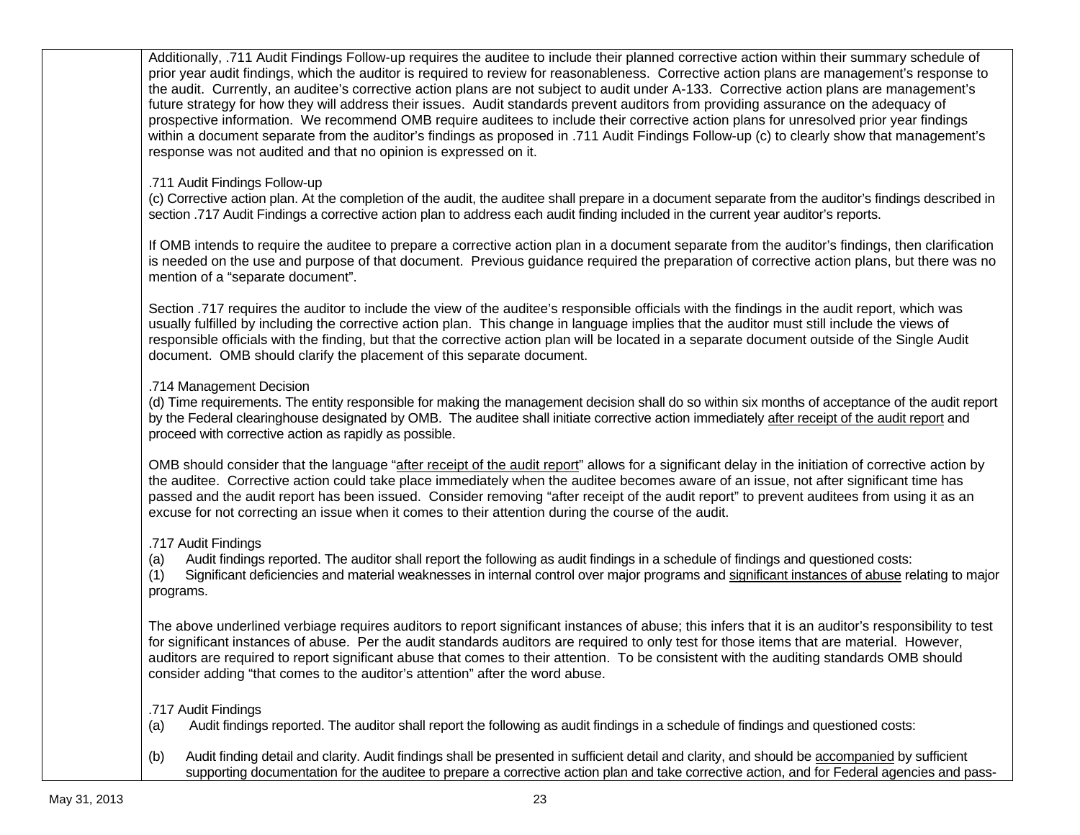Additionally, .711 Audit Findings Follow-up requires the auditee to include their planned corrective action within their summary schedule of prior year audit findings, which the auditor is required to review for reasonableness. Corrective action plans are management's response to the audit. Currently, an auditee's corrective action plans are not subject to audit under A-133. Corrective action plans are management's future strategy for how they will address their issues. Audit standards prevent auditors from providing assurance on the adequacy of prospective information. We recommend OMB require auditees to include their corrective action plans for unresolved prior year findings within a document separate from the auditor's findings as proposed in .711 Audit Findings Follow-up (c) to clearly show that management's response was not audited and that no opinion is expressed on it. .711 Audit Findings Follow-up (c) Corrective action plan. At the completion of the audit, the auditee shall prepare in a document separate from the auditor's findings described in section .717 Audit Findings a corrective action plan to address each audit finding included in the current year auditor's reports. If OMB intends to require the auditee to prepare a corrective action plan in a document separate from the auditor's findings, then clarification is needed on the use and purpose of that document. Previous guidance required the preparation of corrective action plans, but there was no mention of a "separate document". Section *.*717 requires the auditor to include the view of the auditee's responsible officials with the findings in the audit report, which was usually fulfilled by including the corrective action plan. This change in language implies that the auditor must still include the views of responsible officials with the finding, but that the corrective action plan will be located in a separate document outside of the Single Audit document. OMB should clarify the placement of this separate document. .714 Management Decision (d) Time requirements. The entity responsible for making the management decision shall do so within six months of acceptance of the audit report by the Federal clearinghouse designated by OMB. The auditee shall initiate corrective action immediately after receipt of the audit report and proceed with corrective action as rapidly as possible. OMB should consider that the language "after receipt of the audit report" allows for a significant delay in the initiation of corrective action by the auditee. Corrective action could take place immediately when the auditee becomes aware of an issue, not after significant time has passed and the audit report has been issued. Consider removing "after receipt of the audit report" to prevent auditees from using it as an excuse for not correcting an issue when it comes to their attention during the course of the audit. .717 Audit Findings (a) Audit findings reported. The auditor shall report the following as audit findings in a schedule of findings and questioned costs: (1) Significant deficiencies and material weaknesses in internal control over major programs and significant instances of abuse relating to major programs. The above underlined verbiage requires auditors to report significant instances of abuse; this infers that it is an auditor's responsibility to test for significant instances of abuse. Per the audit standards auditors are required to only test for those items that are material. However, auditors are required to report significant abuse that comes to their attention. To be consistent with the auditing standards OMB should consider adding "that comes to the auditor's attention" after the word abuse. .717 Audit Findings (a) Audit findings reported. The auditor shall report the following as audit findings in a schedule of findings and questioned costs: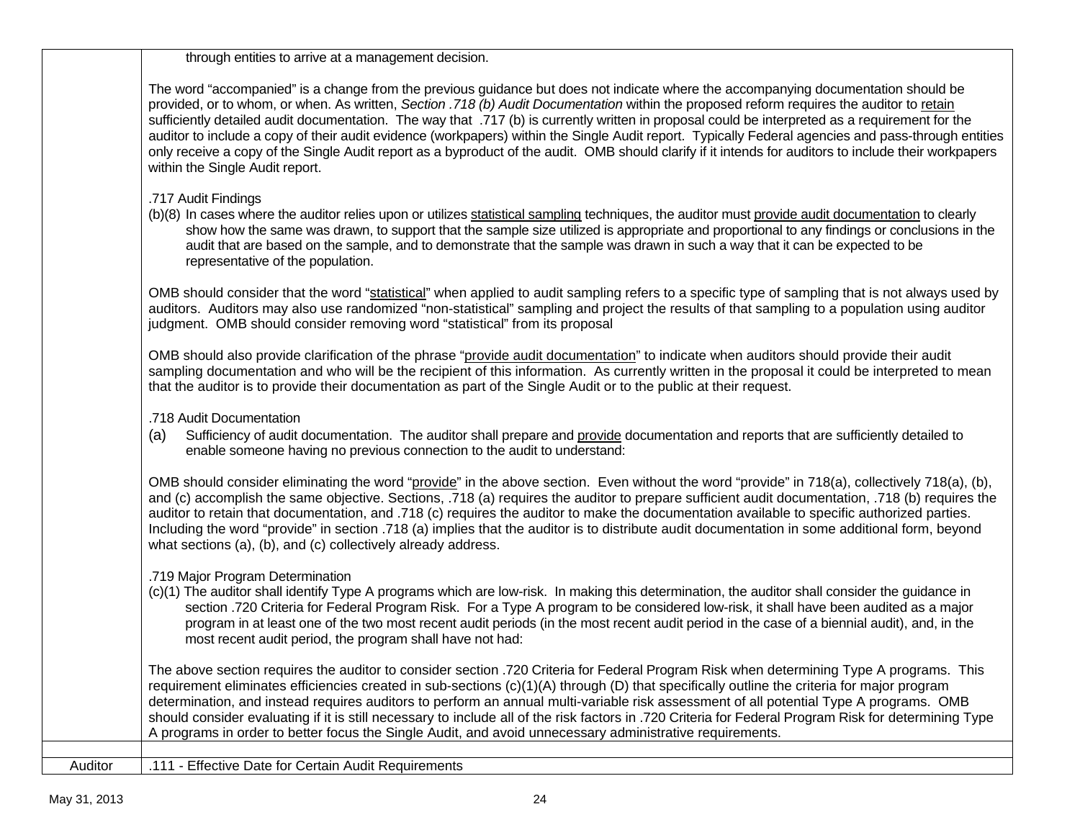through entities to arrive at a management decision.

The word "accompanied" is a change from the previous guidance but does not indicate where the accompanying documentation should be provided, or to whom, or when. As written, *Section .718 (b) Audit Documentation* within the proposed reform requires the auditor to retain sufficiently detailed audit documentation. The way that .717 (b) is currently written in proposal could be interpreted as a requirement for the auditor to include a copy of their audit evidence (workpapers) within the Single Audit report. Typically Federal agencies and pass-through entities only receive a copy of the Single Audit report as a byproduct of the audit. OMB should clarify if it intends for auditors to include their workpapers within the Single Audit report.

#### .717 Audit Findings

(b)(8) In cases where the auditor relies upon or utilizes statistical sampling techniques, the auditor must provide audit documentation to clearly show how the same was drawn, to support that the sample size utilized is appropriate and proportional to any findings or conclusions in the audit that are based on the sample, and to demonstrate that the sample was drawn in such a way that it can be expected to be representative of the population.

OMB should consider that the word "statistical" when applied to audit sampling refers to a specific type of sampling that is not always used by auditors. Auditors may also use randomized "non-statistical" sampling and project the results of that sampling to a population using auditor judgment. OMB should consider removing word "statistical" from its proposal

OMB should also provide clarification of the phrase "provide audit documentation" to indicate when auditors should provide their audit sampling documentation and who will be the recipient of this information. As currently written in the proposal it could be interpreted to mean that the auditor is to provide their documentation as part of the Single Audit or to the public at their request.

.718 Audit Documentation

(a) Sufficiency of audit documentation. The auditor shall prepare and provide documentation and reports that are sufficiently detailed to enable someone having no previous connection to the audit to understand:

OMB should consider eliminating the word "provide" in the above section. Even without the word "provide" in 718(a), collectively 718(a), (b), and (c) accomplish the same objective. Sections, .718 (a) requires the auditor to prepare sufficient audit documentation, .718 (b) requires the auditor to retain that documentation, and .718 (c) requires the auditor to make the documentation available to specific authorized parties. Including the word "provide" in section .718 (a) implies that the auditor is to distribute audit documentation in some additional form, beyond what sections (a), (b), and (c) collectively already address.

.719 Major Program Determination

(c)(1) The auditor shall identify Type A programs which are low-risk. In making this determination, the auditor shall consider the guidance in section .720 Criteria for Federal Program Risk. For a Type A program to be considered low-risk, it shall have been audited as a major program in at least one of the two most recent audit periods (in the most recent audit period in the case of a biennial audit), and, in the most recent audit period, the program shall have not had:

The above section requires the auditor to consider section .720 Criteria for Federal Program Risk when determining Type A programs. This requirement eliminates efficiencies created in sub-sections (c)(1)(A) through (D) that specifically outline the criteria for major program determination, and instead requires auditors to perform an annual multi-variable risk assessment of all potential Type A programs. OMB should consider evaluating if it is still necessary to include all of the risk factors in .720 Criteria for Federal Program Risk for determining Type A programs in order to better focus the Single Audit, and avoid unnecessary administrative requirements.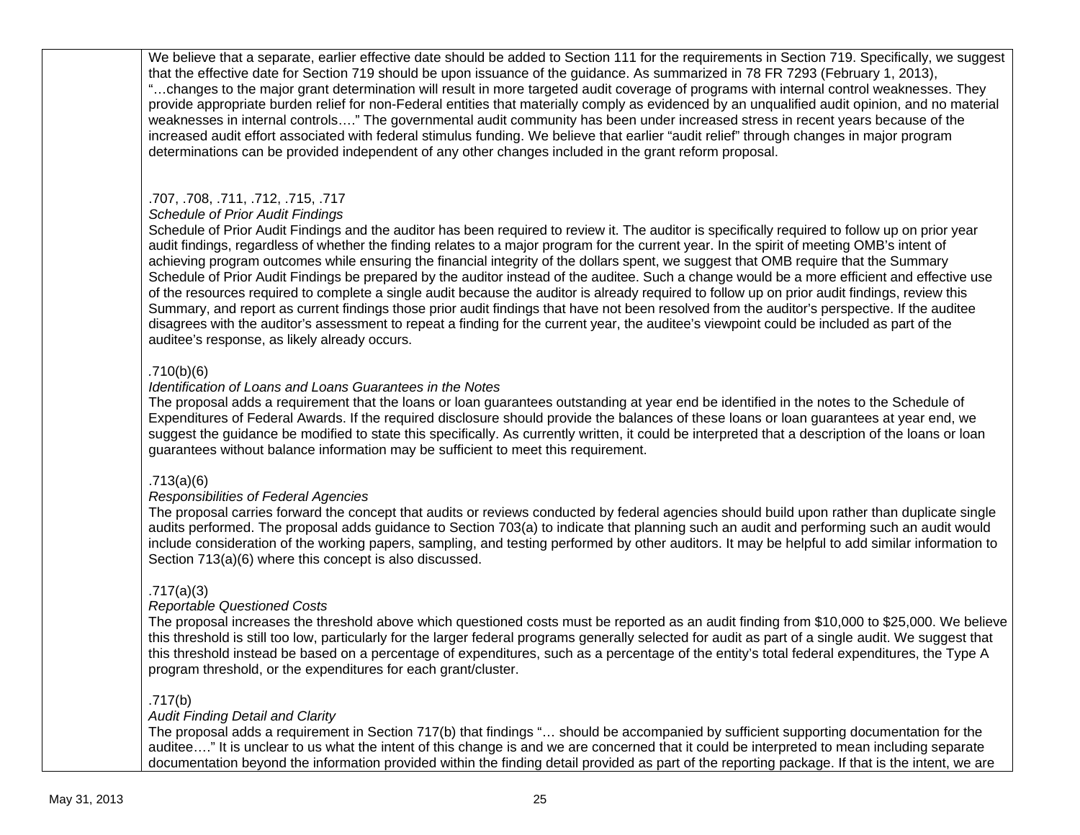We believe that a separate, earlier effective date should be added to Section 111 for the requirements in Section 719. Specifically, we suggest that the effective date for Section 719 should be upon issuance of the guidance. As summarized in 78 FR 7293 (February 1, 2013), "…changes to the major grant determination will result in more targeted audit coverage of programs with internal control weaknesses. They provide appropriate burden relief for non-Federal entities that materially comply as evidenced by an unqualified audit opinion, and no material weaknesses in internal controls…." The governmental audit community has been under increased stress in recent years because of the increased audit effort associated with federal stimulus funding. We believe that earlier "audit relief" through changes in major program determinations can be provided independent of any other changes included in the grant reform proposal.

## .707, .708, .711, .712, .715, .717

## *Schedule of Prior Audit Findings*

Schedule of Prior Audit Findings and the auditor has been required to review it. The auditor is specifically required to follow up on prior year audit findings, regardless of whether the finding relates to a major program for the current year. In the spirit of meeting OMB's intent of achieving program outcomes while ensuring the financial integrity of the dollars spent, we suggest that OMB require that the Summary Schedule of Prior Audit Findings be prepared by the auditor instead of the auditee. Such a change would be a more efficient and effective use of the resources required to complete a single audit because the auditor is already required to follow up on prior audit findings, review this Summary, and report as current findings those prior audit findings that have not been resolved from the auditor's perspective. If the auditee disagrees with the auditor's assessment to repeat a finding for the current year, the auditee's viewpoint could be included as part of the auditee's response, as likely already occurs.

#### *.*710(b)(6)

#### *Identification of Loans and Loans Guarantees in the Notes*

The proposal adds a requirement that the loans or loan guarantees outstanding at year end be identified in the notes to the Schedule of Expenditures of Federal Awards. If the required disclosure should provide the balances of these loans or loan guarantees at year end, we suggest the guidance be modified to state this specifically. As currently written, it could be interpreted that a description of the loans or loan guarantees without balance information may be sufficient to meet this requirement.

#### .713(a)(6)

#### *Responsibilities of Federal Agencies*

The proposal carries forward the concept that audits or reviews conducted by federal agencies should build upon rather than duplicate single audits performed. The proposal adds guidance to Section 703(a) to indicate that planning such an audit and performing such an audit would include consideration of the working papers, sampling, and testing performed by other auditors. It may be helpful to add similar information to Section 713(a)(6) where this concept is also discussed.

## .717(a)(3)

#### *Reportable Questioned Costs*

The proposal increases the threshold above which questioned costs must be reported as an audit finding from \$10,000 to \$25,000. We believe this threshold is still too low, particularly for the larger federal programs generally selected for audit as part of a single audit. We suggest that this threshold instead be based on a percentage of expenditures, such as a percentage of the entity's total federal expenditures, the Type A program threshold, or the expenditures for each grant/cluster.

## .717(b)

#### *Audit Finding Detail and Clarity*

The proposal adds a requirement in Section 717(b) that findings "… should be accompanied by sufficient supporting documentation for the auditee…." It is unclear to us what the intent of this change is and we are concerned that it could be interpreted to mean including separate documentation beyond the information provided within the finding detail provided as part of the reporting package. If that is the intent, we are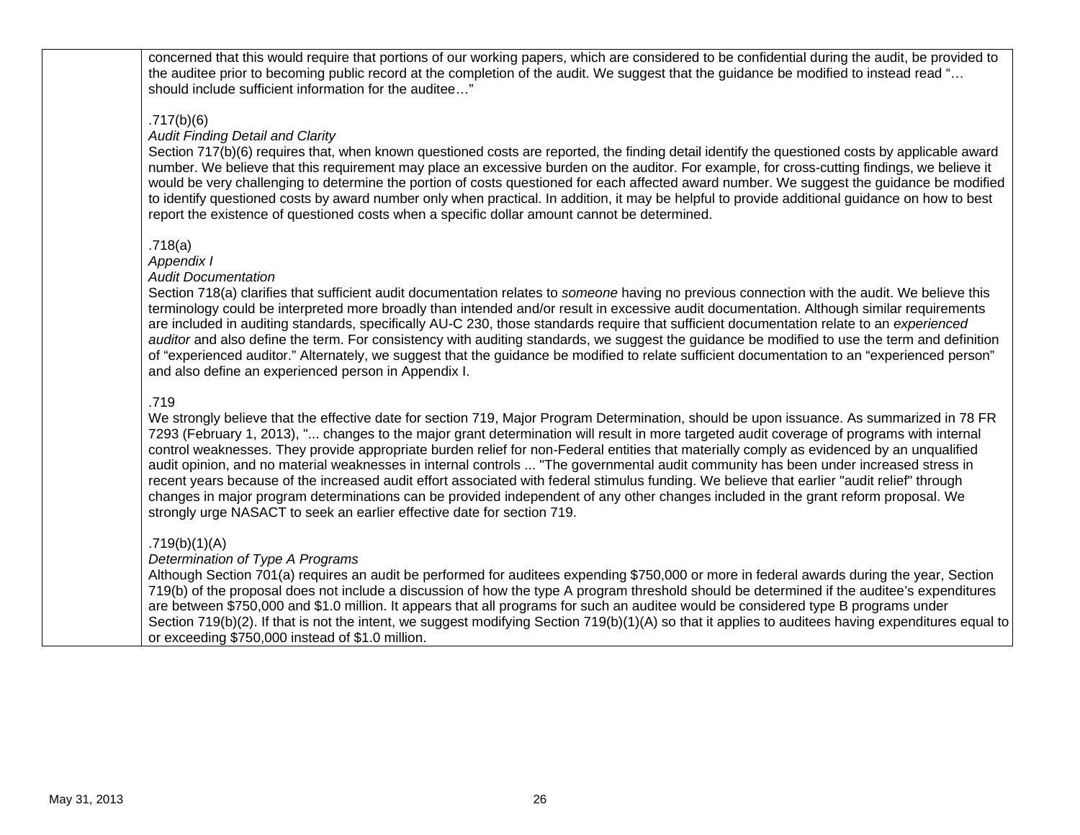concerned that this would require that portions of our working papers, which are considered to be confidential during the audit, be provided to the auditee prior to becoming public record at the completion of the audit. We suggest that the guidance be modified to instead read "… should include sufficient information for the auditee…"

## .717(b)(6)

#### *Audit Finding Detail and Clarity*

Section 717(b)(6) requires that, when known questioned costs are reported, the finding detail identify the questioned costs by applicable award number. We believe that this requirement may place an excessive burden on the auditor. For example, for cross-cutting findings, we believe it would be very challenging to determine the portion of costs questioned for each affected award number. We suggest the guidance be modified to identify questioned costs by award number only when practical. In addition, it may be helpful to provide additional guidance on how to best report the existence of questioned costs when a specific dollar amount cannot be determined.

#### .718(a)

*Appendix I* 

#### *Audit Documentation*

Section 718(a) clarifies that sufficient audit documentation relates to *someone* having no previous connection with the audit. We believe this terminology could be interpreted more broadly than intended and/or result in excessive audit documentation. Although similar requirements are included in auditing standards, specifically AU-C 230, those standards require that sufficient documentation relate to an *experienced auditor* and also define the term. For consistency with auditing standards, we suggest the guidance be modified to use the term and definition of "experienced auditor." Alternately, we suggest that the guidance be modified to relate sufficient documentation to an "experienced person" and also define an experienced person in Appendix I.

#### .719

We strongly believe that the effective date for section 719, Major Program Determination, should be upon issuance. As summarized in 78 FR 7293 (February 1, 2013), "... changes to the major grant determination will result in more targeted audit coverage of programs with internal control weaknesses. They provide appropriate burden relief for non-Federal entities that materially comply as evidenced by an unqualified audit opinion, and no material weaknesses in internal controls ... "The governmental audit community has been under increased stress in recent years because of the increased audit effort associated with federal stimulus funding. We believe that earlier "audit relief" through changes in major program determinations can be provided independent of any other changes included in the grant reform proposal. We strongly urge NASACT to seek an earlier effective date for section 719.

#### .719(b)(1)(A)

#### *Determination of Type A Programs*

Although Section 701(a) requires an audit be performed for auditees expending \$750,000 or more in federal awards during the year, Section 719(b) of the proposal does not include a discussion of how the type A program threshold should be determined if the auditee's expenditures are between \$750,000 and \$1.0 million. It appears that all programs for such an auditee would be considered type B programs under Section 719(b)(2). If that is not the intent, we suggest modifying Section 719(b)(1)(A) so that it applies to auditees having expenditures equal to or exceeding \$750,000 instead of \$1.0 million.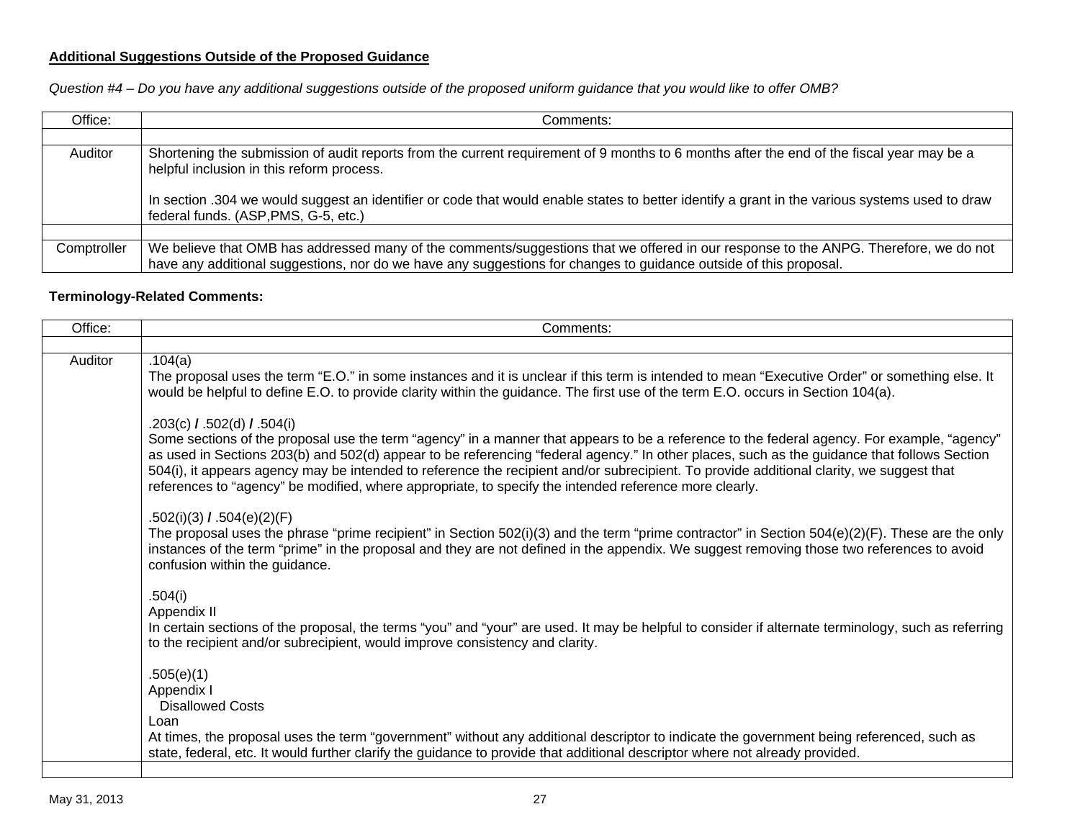# **Additional Suggestions Outside of the Proposed Guidance**

*Question #4 – Do you have any additional suggestions outside of the proposed uniform guidance that you would like to offer OMB?*

| Office:     | Comments:                                                                                                                                                                                                                                                 |
|-------------|-----------------------------------------------------------------------------------------------------------------------------------------------------------------------------------------------------------------------------------------------------------|
|             |                                                                                                                                                                                                                                                           |
| Auditor     | Shortening the submission of audit reports from the current requirement of 9 months to 6 months after the end of the fiscal year may be a<br>helpful inclusion in this reform process.                                                                    |
|             | In section .304 we would suggest an identifier or code that would enable states to better identify a grant in the various systems used to draw<br>federal funds. (ASP, PMS, G-5, etc.)                                                                    |
|             |                                                                                                                                                                                                                                                           |
| Comptroller | We believe that OMB has addressed many of the comments/suggestions that we offered in our response to the ANPG. Therefore, we do not<br>have any additional suggestions, nor do we have any suggestions for changes to guidance outside of this proposal. |

## **Terminology-Related Comments:**

| Office: | Comments:                                                                                                                                                                                                                                                                                                                                                                                                                                                                                                                                                                                     |
|---------|-----------------------------------------------------------------------------------------------------------------------------------------------------------------------------------------------------------------------------------------------------------------------------------------------------------------------------------------------------------------------------------------------------------------------------------------------------------------------------------------------------------------------------------------------------------------------------------------------|
|         |                                                                                                                                                                                                                                                                                                                                                                                                                                                                                                                                                                                               |
| Auditor | .104(a)<br>The proposal uses the term "E.O." in some instances and it is unclear if this term is intended to mean "Executive Order" or something else. It<br>would be helpful to define E.O. to provide clarity within the guidance. The first use of the term E.O. occurs in Section 104(a).                                                                                                                                                                                                                                                                                                 |
|         | .203(c) $\sqrt{$ .502(d) $\sqrt{$ .504(i)<br>Some sections of the proposal use the term "agency" in a manner that appears to be a reference to the federal agency. For example, "agency"<br>as used in Sections 203(b) and 502(d) appear to be referencing "federal agency." In other places, such as the guidance that follows Section<br>504(i), it appears agency may be intended to reference the recipient and/or subrecipient. To provide additional clarity, we suggest that<br>references to "agency" be modified, where appropriate, to specify the intended reference more clearly. |
|         | .502(i)(3) $I.504(e)(2)(F)$<br>The proposal uses the phrase "prime recipient" in Section 502(i)(3) and the term "prime contractor" in Section 504(e)(2)(F). These are the only<br>instances of the term "prime" in the proposal and they are not defined in the appendix. We suggest removing those two references to avoid<br>confusion within the guidance.                                                                                                                                                                                                                                 |
|         | .504(i)<br>Appendix II<br>In certain sections of the proposal, the terms "you" and "your" are used. It may be helpful to consider if alternate terminology, such as referring<br>to the recipient and/or subrecipient, would improve consistency and clarity.                                                                                                                                                                                                                                                                                                                                 |
|         | .505(e)(1)<br>Appendix I<br><b>Disallowed Costs</b><br>Loan<br>At times, the proposal uses the term "government" without any additional descriptor to indicate the government being referenced, such as<br>state, federal, etc. It would further clarify the guidance to provide that additional descriptor where not already provided.                                                                                                                                                                                                                                                       |
|         |                                                                                                                                                                                                                                                                                                                                                                                                                                                                                                                                                                                               |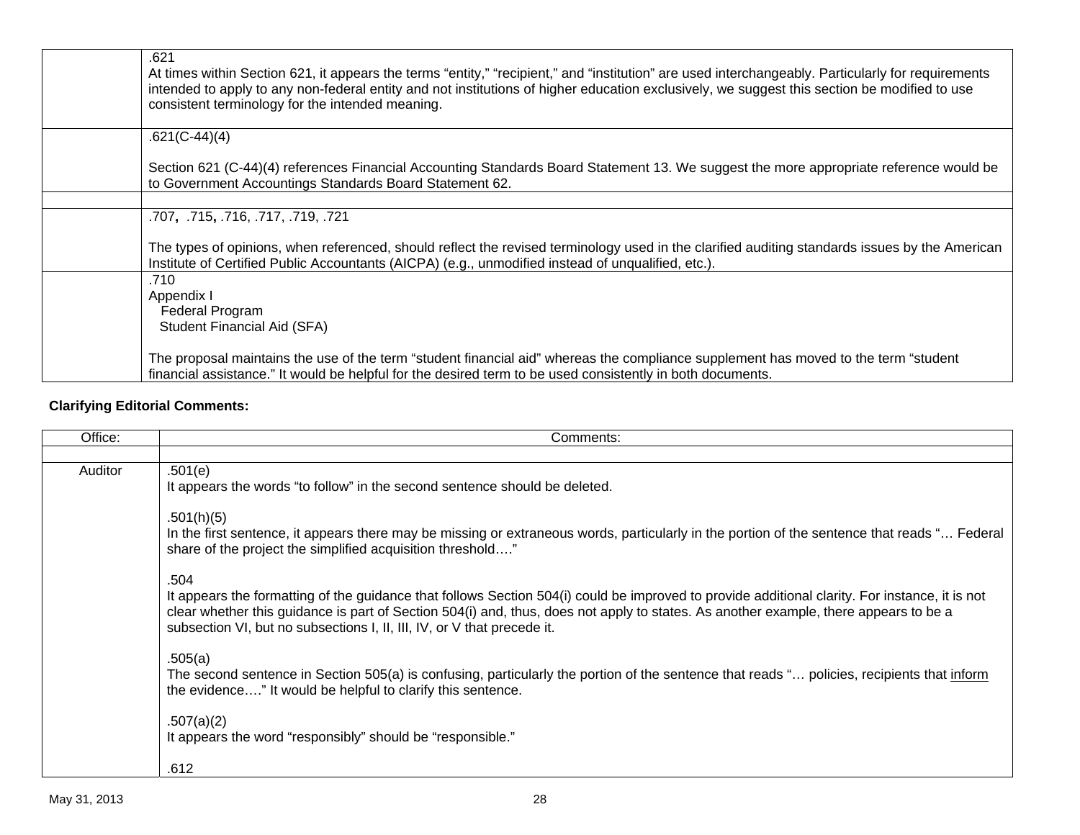| .621<br>At times within Section 621, it appears the terms "entity," "recipient," and "institution" are used interchangeably. Particularly for requirements<br>intended to apply to any non-federal entity and not institutions of higher education exclusively, we suggest this section be modified to use<br>consistent terminology for the intended meaning. |
|----------------------------------------------------------------------------------------------------------------------------------------------------------------------------------------------------------------------------------------------------------------------------------------------------------------------------------------------------------------|
| $.621(C-44)(4)$                                                                                                                                                                                                                                                                                                                                                |
| Section 621 (C-44)(4) references Financial Accounting Standards Board Statement 13. We suggest the more appropriate reference would be<br>to Government Accountings Standards Board Statement 62.                                                                                                                                                              |
| .707, .715, .716, .717, .719, .721                                                                                                                                                                                                                                                                                                                             |
| The types of opinions, when referenced, should reflect the revised terminology used in the clarified auditing standards issues by the American<br>Institute of Certified Public Accountants (AICPA) (e.g., unmodified instead of unqualified, etc.).                                                                                                           |
| .710<br>Appendix I<br>Federal Program<br><b>Student Financial Aid (SFA)</b>                                                                                                                                                                                                                                                                                    |
| The proposal maintains the use of the term "student financial aid" whereas the compliance supplement has moved to the term "student<br>financial assistance." It would be helpful for the desired term to be used consistently in both documents.                                                                                                              |

# **Clarifying Editorial Comments:**

| Office: | Comments:                                                                                                                                                                                                                                                                                                                                                                 |
|---------|---------------------------------------------------------------------------------------------------------------------------------------------------------------------------------------------------------------------------------------------------------------------------------------------------------------------------------------------------------------------------|
|         |                                                                                                                                                                                                                                                                                                                                                                           |
| Auditor | .501(e)<br>It appears the words "to follow" in the second sentence should be deleted.                                                                                                                                                                                                                                                                                     |
|         | .501(h)(5)<br>In the first sentence, it appears there may be missing or extraneous words, particularly in the portion of the sentence that reads " Federal<br>share of the project the simplified acquisition threshold"                                                                                                                                                  |
|         | .504<br>It appears the formatting of the guidance that follows Section 504(i) could be improved to provide additional clarity. For instance, it is not<br>clear whether this guidance is part of Section 504(i) and, thus, does not apply to states. As another example, there appears to be a<br>subsection VI, but no subsections I, II, III, IV, or V that precede it. |
|         | .505(a)<br>The second sentence in Section 505(a) is confusing, particularly the portion of the sentence that reads " policies, recipients that inform<br>the evidence" It would be helpful to clarify this sentence.                                                                                                                                                      |
|         | .507(a)(2)<br>It appears the word "responsibly" should be "responsible."                                                                                                                                                                                                                                                                                                  |
|         | .612                                                                                                                                                                                                                                                                                                                                                                      |